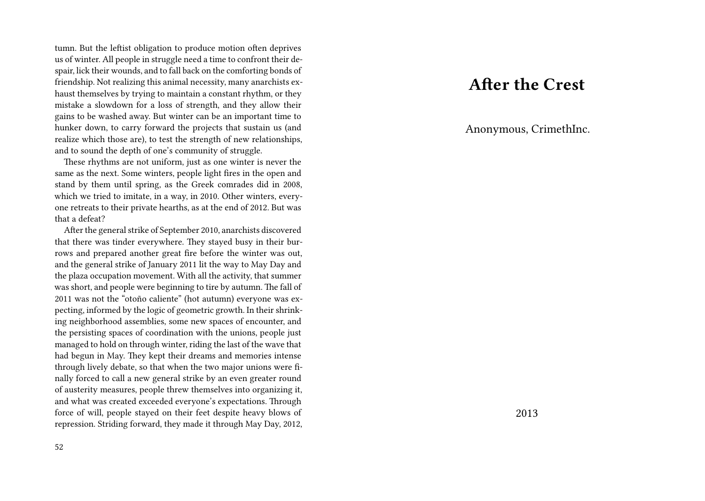tumn. But the leftist obligation to produce motion often deprives us of winter. All people in struggle need a time to confront their despair, lick their wounds, and to fall back on the comforting bonds of friendship. Not realizing this animal necessity, many anarchists exhaust themselves by trying to maintain a constant rhythm, or they mistake a slowdown for a loss of strength, and they allow their gains to be washed away. But winter can be an important time to hunker down, to carry forward the projects that sustain us (and realize which those are), to test the strength of new relationships, and to sound the depth of one's community of struggle.

These rhythms are not uniform, just as one winter is never the same as the next. Some winters, people light fires in the open and stand by them until spring, as the Greek comrades did in 2008, which we tried to imitate, in a way, in 2010. Other winters, everyone retreats to their private hearths, as at the end of 2012. But was that a defeat?

After the general strike of September 2010, anarchists discovered that there was tinder everywhere. They stayed busy in their burrows and prepared another great fire before the winter was out, and the general strike of January 2011 lit the way to May Day and the plaza occupation movement. With all the activity, that summer was short, and people were beginning to tire by autumn. The fall of 2011 was not the "otoño caliente" (hot autumn) everyone was expecting, informed by the logic of geometric growth. In their shrinking neighborhood assemblies, some new spaces of encounter, and the persisting spaces of coordination with the unions, people just managed to hold on through winter, riding the last of the wave that had begun in May. They kept their dreams and memories intense through lively debate, so that when the two major unions were finally forced to call a new general strike by an even greater round of austerity measures, people threw themselves into organizing it, and what was created exceeded everyone's expectations. Through force of will, people stayed on their feet despite heavy blows of repression. Striding forward, they made it through May Day, 2012,

# **After the Crest**

Anonymous, CrimethInc.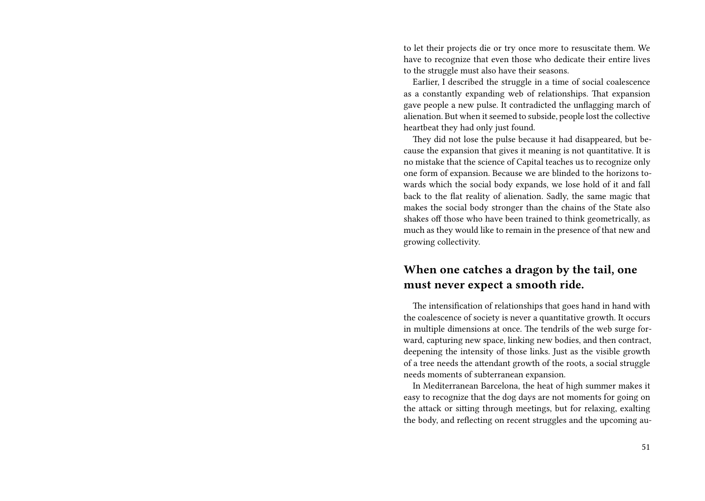to let their projects die or try once more to resuscitate them. We have to recognize that even those who dedicate their entire lives to the struggle must also have their seasons.

Earlier, I described the struggle in a time of social coalescence as a constantly expanding web of relationships. That expansion gave people a new pulse. It contradicted the unflagging march of alienation. But when it seemed to subside, people lost the collective heartbeat they had only just found.

They did not lose the pulse because it had disappeared, but because the expansion that gives it meaning is not quantitative. It is no mistake that the science of Capital teaches us to recognize only one form of expansion. Because we are blinded to the horizons towards which the social body expands, we lose hold of it and fall back to the flat reality of alienation. Sadly, the same magic that makes the social body stronger than the chains of the State also shakes off those who have been trained to think geometrically, as much as they would like to remain in the presence of that new and growing collectivity.

### **When one catches a dragon by the tail, one must never expect a smooth ride.**

The intensification of relationships that goes hand in hand with the coalescence of society is never a quantitative growth. It occurs in multiple dimensions at once. The tendrils of the web surge forward, capturing new space, linking new bodies, and then contract, deepening the intensity of those links. Just as the visible growth of a tree needs the attendant growth of the roots, a social struggle needs moments of subterranean expansion.

In Mediterranean Barcelona, the heat of high summer makes it easy to recognize that the dog days are not moments for going on the attack or sitting through meetings, but for relaxing, exalting the body, and reflecting on recent struggles and the upcoming au-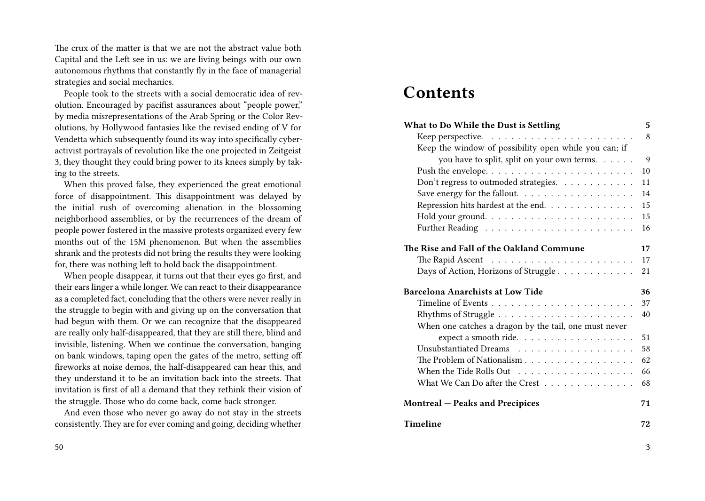The crux of the matter is that we are not the abstract value both Capital and the Left see in us: we are living beings with our own autonomous rhythms that constantly fly in the face of managerial strategies and social mechanics.

People took to the streets with a social democratic idea of revolution. Encouraged by pacifist assurances about "people power," by media misrepresentations of the Arab Spring or the Color Revolutions, by Hollywood fantasies like the revised ending of V for Vendetta which subsequently found its way into specifically cyberactivist portrayals of revolution like the one projected in Zeitgeist 3, they thought they could bring power to its knees simply by taking to the streets.

When this proved false, they experienced the great emotional force of disappointment. This disappointment was delayed by the initial rush of overcoming alienation in the blossoming neighborhood assemblies, or by the recurrences of the dream of people power fostered in the massive protests organized every few months out of the 15M phenomenon. But when the assemblies shrank and the protests did not bring the results they were looking for, there was nothing left to hold back the disappointment.

When people disappear, it turns out that their eyes go first, and their ears linger a while longer. We can react to their disappearance as a completed fact, concluding that the others were never really in the struggle to begin with and giving up on the conversation that had begun with them. Or we can recognize that the disappeared are really only half-disappeared, that they are still there, blind and invisible, listening. When we continue the conversation, banging on bank windows, taping open the gates of the metro, setting off fireworks at noise demos, the half-disappeared can hear this, and they understand it to be an invitation back into the streets. That invitation is first of all a demand that they rethink their vision of the struggle. Those who do come back, come back stronger.

And even those who never go away do not stay in the streets consistently. They are for ever coming and going, deciding whether

#### 50

## **Contents**

| What to Do While the Dust is Settling                 | 5  |
|-------------------------------------------------------|----|
|                                                       | 8  |
| Keep the window of possibility open while you can; if |    |
| you have to split, split on your own terms.           | 9  |
|                                                       | 10 |
| Don't regress to outmoded strategies.                 | 11 |
| Save energy for the fallout.                          | 14 |
| Repression hits hardest at the end.                   | 15 |
|                                                       | 15 |
|                                                       | 16 |
| The Rise and Fall of the Oakland Commune              | 17 |
|                                                       | 17 |
|                                                       | 21 |
| Days of Action, Horizons of Struggle                  |    |
|                                                       |    |
| <b>Barcelona Anarchists at Low Tide</b>               | 36 |
|                                                       | 37 |
|                                                       | 40 |
| When one catches a dragon by the tail, one must never |    |
| expect a smooth ride.                                 | 51 |
|                                                       | 58 |
| The Problem of Nationalism                            | 62 |
| When the Tide Rolls Out                               | 66 |
| What We Can Do after the Crest                        | 68 |
| <b>Montreal – Peaks and Precipices</b>                | 71 |

3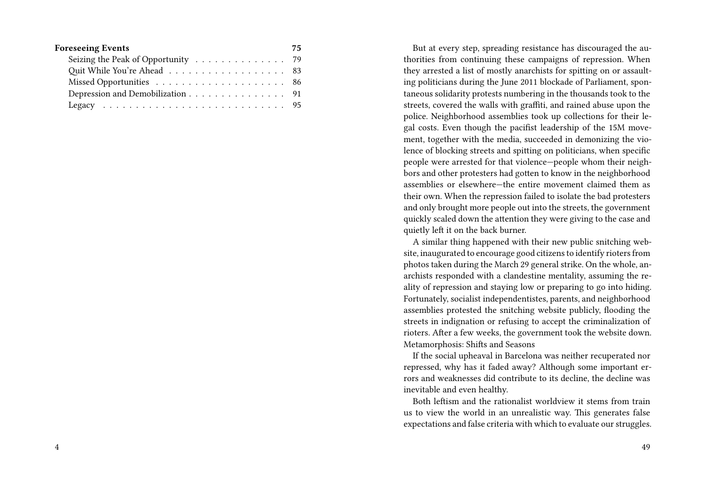| <b>Foreseeing Events</b>           | 75 |
|------------------------------------|----|
| Seizing the Peak of Opportunity 79 |    |
| Quit While You're Ahead 83         |    |
|                                    |    |
| Depression and Demobilization 91   |    |
|                                    |    |

But at every step, spreading resistance has discouraged the authorities from continuing these campaigns of repression. When they arrested a list of mostly anarchists for spitting on or assaulting politicians during the June 2011 blockade of Parliament, spontaneous solidarity protests numbering in the thousands took to the streets, covered the walls with graffiti, and rained abuse upon the police. Neighborhood assemblies took up collections for their legal costs. Even though the pacifist leadership of the 15M movement, together with the media, succeeded in demonizing the violence of blocking streets and spitting on politicians, when specific people were arrested for that violence—people whom their neighbors and other protesters had gotten to know in the neighborhood assemblies or elsewhere—the entire movement claimed them as their own. When the repression failed to isolate the bad protesters and only brought more people out into the streets, the government quickly scaled down the attention they were giving to the case and quietly left it on the back burner.

A similar thing happened with their new public snitching website, inaugurated to encourage good citizens to identify rioters from photos taken during the March 29 general strike. On the whole, anarchists responded with a clandestine mentality, assuming the reality of repression and staying low or preparing to go into hiding. Fortunately, socialist independentistes, parents, and neighborhood assemblies protested the snitching website publicly, flooding the streets in indignation or refusing to accept the criminalization of rioters. After a few weeks, the government took the website down. Metamorphosis: Shifts and Seasons

If the social upheaval in Barcelona was neither recuperated nor repressed, why has it faded away? Although some important errors and weaknesses did contribute to its decline, the decline was inevitable and even healthy.

Both leftism and the rationalist worldview it stems from train us to view the world in an unrealistic way. This generates false expectations and false criteria with which to evaluate our struggles.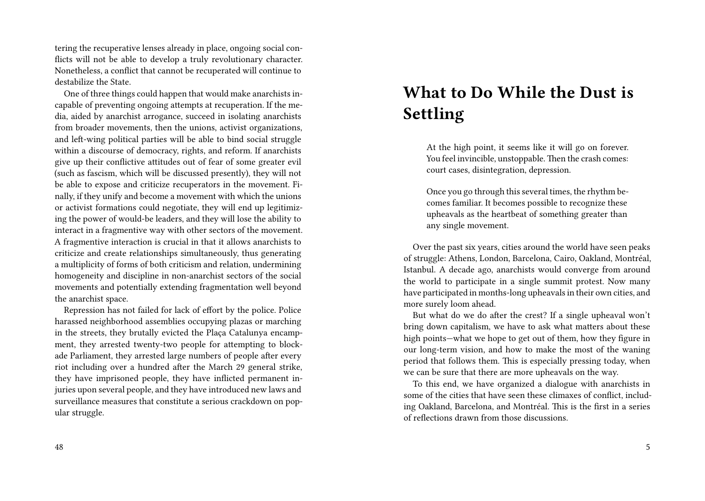tering the recuperative lenses already in place, ongoing social conflicts will not be able to develop a truly revolutionary character. Nonetheless, a conflict that cannot be recuperated will continue to destabilize the State.

One of three things could happen that would make anarchists incapable of preventing ongoing attempts at recuperation. If the media, aided by anarchist arrogance, succeed in isolating anarchists from broader movements, then the unions, activist organizations, and left-wing political parties will be able to bind social struggle within a discourse of democracy, rights, and reform. If anarchists give up their conflictive attitudes out of fear of some greater evil (such as fascism, which will be discussed presently), they will not be able to expose and criticize recuperators in the movement. Finally, if they unify and become a movement with which the unions or activist formations could negotiate, they will end up legitimizing the power of would-be leaders, and they will lose the ability to interact in a fragmentive way with other sectors of the movement. A fragmentive interaction is crucial in that it allows anarchists to criticize and create relationships simultaneously, thus generating a multiplicity of forms of both criticism and relation, undermining homogeneity and discipline in non-anarchist sectors of the social movements and potentially extending fragmentation well beyond the anarchist space.

Repression has not failed for lack of effort by the police. Police harassed neighborhood assemblies occupying plazas or marching in the streets, they brutally evicted the Plaça Catalunya encampment, they arrested twenty-two people for attempting to blockade Parliament, they arrested large numbers of people after every riot including over a hundred after the March 29 general strike, they have imprisoned people, they have inflicted permanent injuries upon several people, and they have introduced new laws and surveillance measures that constitute a serious crackdown on popular struggle.

#### 48

## **What to Do While the Dust is Settling**

At the high point, it seems like it will go on forever. You feel invincible, unstoppable. Then the crash comes: court cases, disintegration, depression.

Once you go through this several times, the rhythm becomes familiar. It becomes possible to recognize these upheavals as the heartbeat of something greater than any single movement.

Over the past six years, cities around the world have seen peaks of struggle: Athens, London, Barcelona, Cairo, Oakland, Montréal, Istanbul. A decade ago, anarchists would converge from around the world to participate in a single summit protest. Now many have participated in months-long upheavals in their own cities, and more surely loom ahead.

But what do we do after the crest? If a single upheaval won't bring down capitalism, we have to ask what matters about these high points—what we hope to get out of them, how they figure in our long-term vision, and how to make the most of the waning period that follows them. This is especially pressing today, when we can be sure that there are more upheavals on the way.

To this end, we have organized a dialogue with anarchists in some of the cities that have seen these climaxes of conflict, including Oakland, Barcelona, and Montréal. This is the first in a series of reflections drawn from those discussions.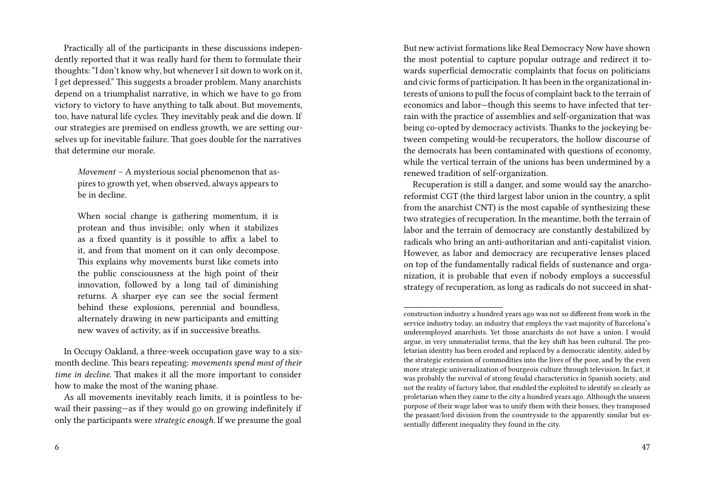Practically all of the participants in these discussions independently reported that it was really hard for them to formulate their thoughts: "I don't know why, but whenever I sit down to work on it, I get depressed." This suggests a broader problem. Many anarchists depend on a triumphalist narrative, in which we have to go from victory to victory to have anything to talk about. But movements, too, have natural life cycles. They inevitably peak and die down. If our strategies are premised on endless growth, we are setting ourselves up for inevitable failure. That goes double for the narratives that determine our morale.

*Movement* – A mysterious social phenomenon that aspires to growth yet, when observed, always appears to be in decline.

When social change is gathering momentum, it is protean and thus invisible; only when it stabilizes as a fixed quantity is it possible to affix a label to it, and from that moment on it can only decompose. This explains why movements burst like comets into the public consciousness at the high point of their innovation, followed by a long tail of diminishing returns. A sharper eye can see the social ferment behind these explosions, perennial and boundless, alternately drawing in new participants and emitting new waves of activity, as if in successive breaths.

In Occupy Oakland, a three-week occupation gave way to a sixmonth decline. This bears repeating: *movements spend most of their time in decline.* That makes it all the more important to consider how to make the most of the waning phase.

But new activist formations like Real Democracy Now have shown the most potential to capture popular outrage and redirect it towards superficial democratic complaints that focus on politicians and civic forms of participation. It has been in the organizational interests of unions to pull the focus of complaint back to the terrain of economics and labor—though this seems to have infected that terrain with the practice of assemblies and self-organization that was being co-opted by democracy activists. Thanks to the jockeying between competing would-be recuperators, the hollow discourse of the democrats has been contaminated with questions of economy, while the vertical terrain of the unions has been undermined by a renewed tradition of self-organization.

Recuperation is still a danger, and some would say the anarchoreformist CGT (the third largest labor union in the country, a split from the anarchist CNT) is the most capable of synthesizing these two strategies of recuperation. In the meantime, both the terrain of labor and the terrain of democracy are constantly destabilized by radicals who bring an anti-authoritarian and anti-capitalist vision. However, as labor and democracy are recuperative lenses placed on top of the fundamentally radical fields of sustenance and organization, it is probable that even if nobody employs a successful strategy of recuperation, as long as radicals do not succeed in shat-

As all movements inevitably reach limits, it is pointless to bewail their passing—as if they would go on growing indefinitely if only the participants were *strategic enough.* If we presume the goal

construction industry a hundred years ago was not so different from work in the service industry today, an industry that employs the vast majority of Barcelona's underemployed anarchists. Yet those anarchists do not have a union. I would argue, in very unmaterialist terms, that the key shift has been cultural. The proletarian identity has been eroded and replaced by a democratic identity, aided by the strategic extension of commodities into the lives of the poor, and by the even more strategic universalization of bourgeois culture through television. In fact, it was probably the survival of strong feudal characteristics in Spanish society, and not the reality of factory labor, that enabled the exploited to identify so clearly as proletarian when they came to the city a hundred years ago. Although the unseen purpose of their wage labor was to unify them with their bosses, they transposed the peasant/lord division from the countryside to the apparently similar but essentially different inequality they found in the city.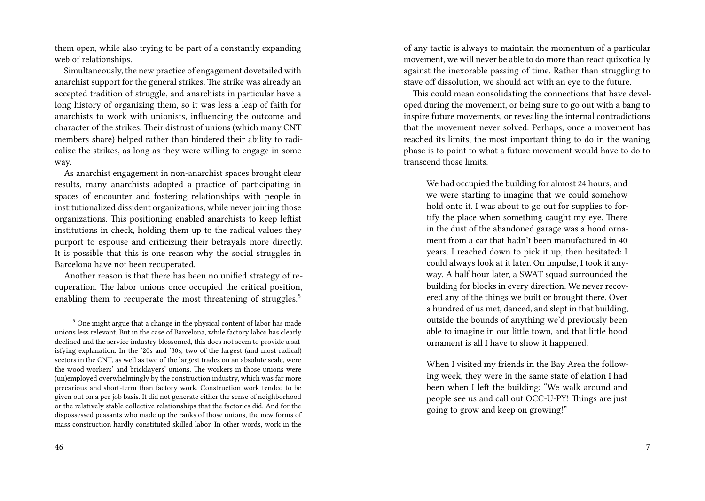them open, while also trying to be part of a constantly expanding web of relationships.

Simultaneously, the new practice of engagement dovetailed with anarchist support for the general strikes. The strike was already an accepted tradition of struggle, and anarchists in particular have a long history of organizing them, so it was less a leap of faith for anarchists to work with unionists, influencing the outcome and character of the strikes. Their distrust of unions (which many CNT members share) helped rather than hindered their ability to radicalize the strikes, as long as they were willing to engage in some way.

As anarchist engagement in non-anarchist spaces brought clear results, many anarchists adopted a practice of participating in spaces of encounter and fostering relationships with people in institutionalized dissident organizations, while never joining those organizations. This positioning enabled anarchists to keep leftist institutions in check, holding them up to the radical values they purport to espouse and criticizing their betrayals more directly. It is possible that this is one reason why the social struggles in Barcelona have not been recuperated.

Another reason is that there has been no unified strategy of recuperation. The labor unions once occupied the critical position, enabling them to recuperate the most threatening of struggles.<sup>5</sup>

46

of any tactic is always to maintain the momentum of a particular movement, we will never be able to do more than react quixotically against the inexorable passing of time. Rather than struggling to stave off dissolution, we should act with an eye to the future.

This could mean consolidating the connections that have developed during the movement, or being sure to go out with a bang to inspire future movements, or revealing the internal contradictions that the movement never solved. Perhaps, once a movement has reached its limits, the most important thing to do in the waning phase is to point to what a future movement would have to do to transcend those limits.

We had occupied the building for almost 24 hours, and we were starting to imagine that we could somehow hold onto it. I was about to go out for supplies to fortify the place when something caught my eye. There in the dust of the abandoned garage was a hood ornament from a car that hadn't been manufactured in 40 years. I reached down to pick it up, then hesitated: I could always look at it later. On impulse, I took it anyway. A half hour later, a SWAT squad surrounded the building for blocks in every direction. We never recovered any of the things we built or brought there. Over a hundred of us met, danced, and slept in that building, outside the bounds of anything we'd previously been able to imagine in our little town, and that little hood ornament is all I have to show it happened.

When I visited my friends in the Bay Area the following week, they were in the same state of elation I had been when I left the building: "We walk around and people see us and call out OCC-U-PY! Things are just going to grow and keep on growing!"

<sup>5</sup> One might argue that a change in the physical content of labor has made unions less relevant. But in the case of Barcelona, while factory labor has clearly declined and the service industry blossomed, this does not seem to provide a satisfying explanation. In the '20s and '30s, two of the largest (and most radical) sectors in the CNT, as well as two of the largest trades on an absolute scale, were the wood workers' and bricklayers' unions. The workers in those unions were (un)employed overwhelmingly by the construction industry, which was far more precarious and short-term than factory work. Construction work tended to be given out on a per job basis. It did not generate either the sense of neighborhood or the relatively stable collective relationships that the factories did. And for the dispossessed peasants who made up the ranks of those unions, the new forms of mass construction hardly constituted skilled labor. In other words, work in the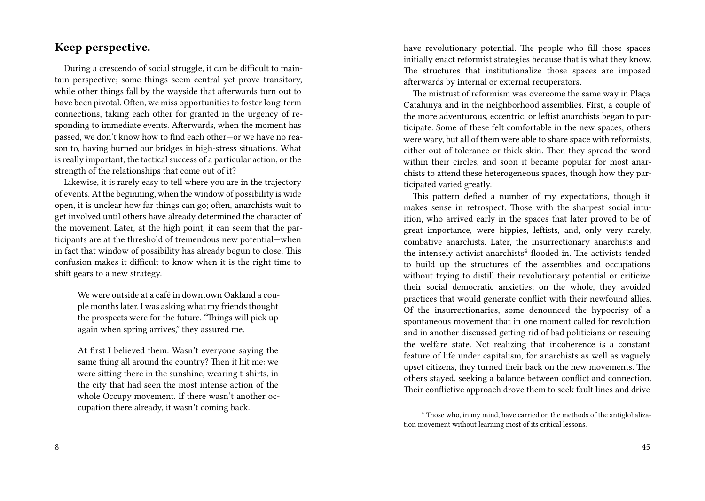#### **Keep perspective.**

During a crescendo of social struggle, it can be difficult to maintain perspective; some things seem central yet prove transitory, while other things fall by the wayside that afterwards turn out to have been pivotal. Often, we miss opportunities to foster long-term connections, taking each other for granted in the urgency of responding to immediate events. Afterwards, when the moment has passed, we don't know how to find each other—or we have no reason to, having burned our bridges in high-stress situations. What is really important, the tactical success of a particular action, or the strength of the relationships that come out of it?

Likewise, it is rarely easy to tell where you are in the trajectory of events. At the beginning, when the window of possibility is wide open, it is unclear how far things can go; often, anarchists wait to get involved until others have already determined the character of the movement. Later, at the high point, it can seem that the participants are at the threshold of tremendous new potential—when in fact that window of possibility has already begun to close. This confusion makes it difficult to know when it is the right time to shift gears to a new strategy.

We were outside at a café in downtown Oakland a couple months later. I was asking what my friends thought the prospects were for the future. "Things will pick up again when spring arrives," they assured me.

At first I believed them. Wasn't everyone saying the same thing all around the country? Then it hit me: we were sitting there in the sunshine, wearing t-shirts, in the city that had seen the most intense action of the whole Occupy movement. If there wasn't another occupation there already, it wasn't coming back.

have revolutionary potential. The people who fill those spaces initially enact reformist strategies because that is what they know. The structures that institutionalize those spaces are imposed afterwards by internal or external recuperators.

The mistrust of reformism was overcome the same way in Plaça Catalunya and in the neighborhood assemblies. First, a couple of the more adventurous, eccentric, or leftist anarchists began to participate. Some of these felt comfortable in the new spaces, others were wary, but all of them were able to share space with reformists, either out of tolerance or thick skin. Then they spread the word within their circles, and soon it became popular for most anarchists to attend these heterogeneous spaces, though how they participated varied greatly.

This pattern defied a number of my expectations, though it makes sense in retrospect. Those with the sharpest social intuition, who arrived early in the spaces that later proved to be of great importance, were hippies, leftists, and, only very rarely, combative anarchists. Later, the insurrectionary anarchists and the intensely activist anarchists<sup>4</sup> flooded in. The activists tended to build up the structures of the assemblies and occupations without trying to distill their revolutionary potential or criticize their social democratic anxieties; on the whole, they avoided practices that would generate conflict with their newfound allies. Of the insurrectionaries, some denounced the hypocrisy of a spontaneous movement that in one moment called for revolution and in another discussed getting rid of bad politicians or rescuing the welfare state. Not realizing that incoherence is a constant feature of life under capitalism, for anarchists as well as vaguely upset citizens, they turned their back on the new movements. The others stayed, seeking a balance between conflict and connection. Their conflictive approach drove them to seek fault lines and drive

<sup>&</sup>lt;sup>4</sup> Those who, in my mind, have carried on the methods of the antiglobalization movement without learning most of its critical lessons.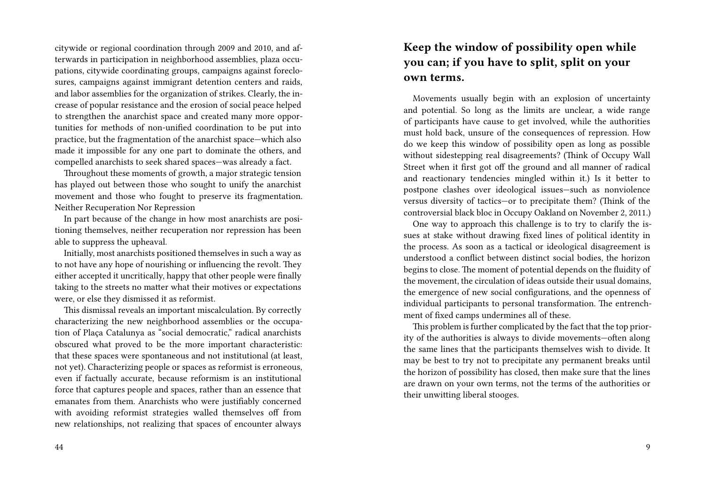citywide or regional coordination through 2009 and 2010, and afterwards in participation in neighborhood assemblies, plaza occupations, citywide coordinating groups, campaigns against foreclosures, campaigns against immigrant detention centers and raids, and labor assemblies for the organization of strikes. Clearly, the increase of popular resistance and the erosion of social peace helped to strengthen the anarchist space and created many more opportunities for methods of non-unified coordination to be put into practice, but the fragmentation of the anarchist space—which also made it impossible for any one part to dominate the others, and compelled anarchists to seek shared spaces—was already a fact.

Throughout these moments of growth, a major strategic tension has played out between those who sought to unify the anarchist movement and those who fought to preserve its fragmentation. Neither Recuperation Nor Repression

In part because of the change in how most anarchists are positioning themselves, neither recuperation nor repression has been able to suppress the upheaval.

Initially, most anarchists positioned themselves in such a way as to not have any hope of nourishing or influencing the revolt. They either accepted it uncritically, happy that other people were finally taking to the streets no matter what their motives or expectations were, or else they dismissed it as reformist.

This dismissal reveals an important miscalculation. By correctly characterizing the new neighborhood assemblies or the occupation of Plaça Catalunya as "social democratic," radical anarchists obscured what proved to be the more important characteristic: that these spaces were spontaneous and not institutional (at least, not yet). Characterizing people or spaces as reformist is erroneous, even if factually accurate, because reformism is an institutional force that captures people and spaces, rather than an essence that emanates from them. Anarchists who were justifiably concerned with avoiding reformist strategies walled themselves off from new relationships, not realizing that spaces of encounter always

### **Keep the window of possibility open while you can; if you have to split, split on your own terms.**

Movements usually begin with an explosion of uncertainty and potential. So long as the limits are unclear, a wide range of participants have cause to get involved, while the authorities must hold back, unsure of the consequences of repression. How do we keep this window of possibility open as long as possible without sidestepping real disagreements? (Think of Occupy Wall Street when it first got off the ground and all manner of radical and reactionary tendencies mingled within it.) Is it better to postpone clashes over ideological issues—such as nonviolence versus diversity of tactics—or to precipitate them? (Think of the controversial black bloc in Occupy Oakland on November 2, 2011.)

One way to approach this challenge is to try to clarify the issues at stake without drawing fixed lines of political identity in the process. As soon as a tactical or ideological disagreement is understood a conflict between distinct social bodies, the horizon begins to close. The moment of potential depends on the fluidity of the movement, the circulation of ideas outside their usual domains, the emergence of new social configurations, and the openness of individual participants to personal transformation. The entrenchment of fixed camps undermines all of these.

This problem is further complicated by the fact that the top priority of the authorities is always to divide movements—often along the same lines that the participants themselves wish to divide. It may be best to try not to precipitate any permanent breaks until the horizon of possibility has closed, then make sure that the lines are drawn on your own terms, not the terms of the authorities or their unwitting liberal stooges.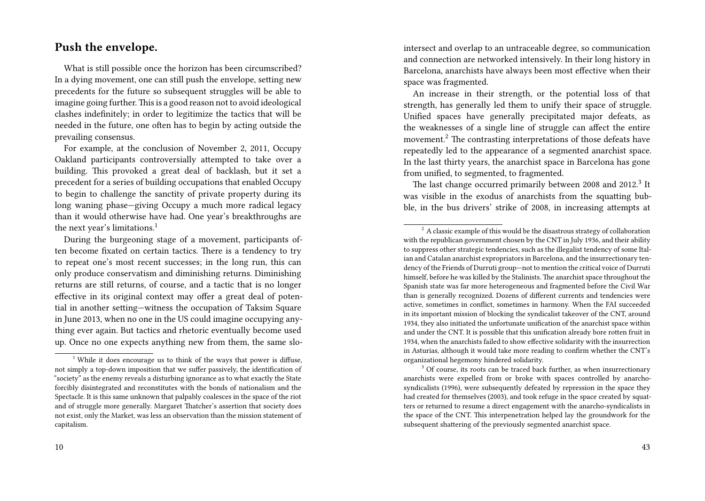#### **Push the envelope.**

What is still possible once the horizon has been circumscribed? In a dying movement, one can still push the envelope, setting new precedents for the future so subsequent struggles will be able to imagine going further.This is a good reason not to avoid ideological clashes indefinitely; in order to legitimize the tactics that will be needed in the future, one often has to begin by acting outside the prevailing consensus.

For example, at the conclusion of November 2, 2011, Occupy Oakland participants controversially attempted to take over a building. This provoked a great deal of backlash, but it set a precedent for a series of building occupations that enabled Occupy to begin to challenge the sanctity of private property during its long waning phase—giving Occupy a much more radical legacy than it would otherwise have had. One year's breakthroughs are the next year's limitations.<sup>1</sup>

During the burgeoning stage of a movement, participants often become fixated on certain tactics. There is a tendency to try to repeat one's most recent successes; in the long run, this can only produce conservatism and diminishing returns. Diminishing returns are still returns, of course, and a tactic that is no longer effective in its original context may offer a great deal of potential in another setting—witness the occupation of Taksim Square in June 2013, when no one in the US could imagine occupying anything ever again. But tactics and rhetoric eventually become used up. Once no one expects anything new from them, the same slointersect and overlap to an untraceable degree, so communication and connection are networked intensively. In their long history in Barcelona, anarchists have always been most effective when their space was fragmented.

An increase in their strength, or the potential loss of that strength, has generally led them to unify their space of struggle. Unified spaces have generally precipitated major defeats, as the weaknesses of a single line of struggle can affect the entire movement.<sup>2</sup> The contrasting interpretations of those defeats have repeatedly led to the appearance of a segmented anarchist space. In the last thirty years, the anarchist space in Barcelona has gone from unified, to segmented, to fragmented.

The last change occurred primarily between 2008 and 2012.<sup>3</sup> It was visible in the exodus of anarchists from the squatting bubble, in the bus drivers' strike of 2008, in increasing attempts at

 $1$ <sup>1</sup> While it does encourage us to think of the ways that power is diffuse, not simply a top-down imposition that we suffer passively, the identification of "society" as the enemy reveals a disturbing ignorance as to what exactly the State forcibly disintegrated and reconstitutes with the bonds of nationalism and the Spectacle. It is this same unknown that palpably coalesces in the space of the riot and of struggle more generally. Margaret Thatcher's assertion that society does not exist, only the Market, was less an observation than the mission statement of capitalism.

 $2^2$  A classic example of this would be the disastrous strategy of collaboration with the republican government chosen by the CNT in July 1936, and their ability to suppress other strategic tendencies, such as the illegalist tendency of some Italian and Catalan anarchist expropriators in Barcelona, and the insurrectionary tendency of the Friends of Durruti group—not to mention the critical voice of Durruti himself, before he was killed by the Stalinists. The anarchist space throughout the Spanish state was far more heterogeneous and fragmented before the Civil War than is generally recognized. Dozens of different currents and tendencies were active, sometimes in conflict, sometimes in harmony. When the FAI succeeded in its important mission of blocking the syndicalist takeover of the CNT, around 1934, they also initiated the unfortunate unification of the anarchist space within and under the CNT. It is possible that this unification already bore rotten fruit in 1934, when the anarchists failed to show effective solidarity with the insurrection in Asturias, although it would take more reading to confirm whether the CNT's organizational hegemony hindered solidarity.

 $3$  Of course, its roots can be traced back further, as when insurrectionary anarchists were expelled from or broke with spaces controlled by anarchosyndicalists (1996), were subsequently defeated by repression in the space they had created for themselves (2003), and took refuge in the space created by squatters or returned to resume a direct engagement with the anarcho-syndicalists in the space of the CNT. This interpenetration helped lay the groundwork for the subsequent shattering of the previously segmented anarchist space.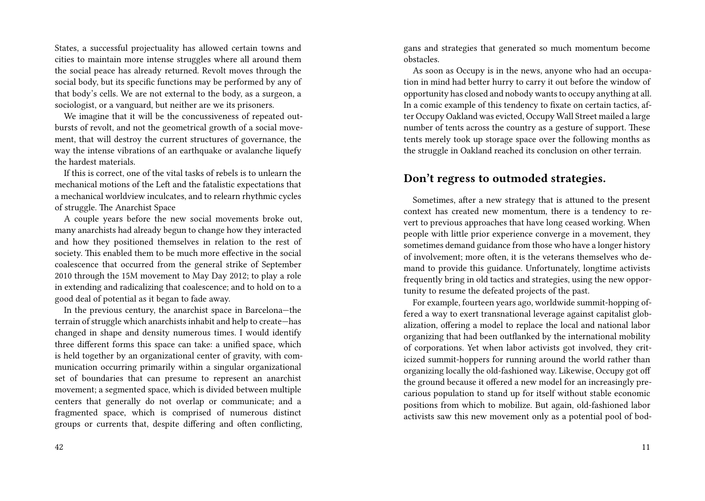States, a successful projectuality has allowed certain towns and cities to maintain more intense struggles where all around them the social peace has already returned. Revolt moves through the social body, but its specific functions may be performed by any of that body's cells. We are not external to the body, as a surgeon, a sociologist, or a vanguard, but neither are we its prisoners.

We imagine that it will be the concussiveness of repeated outbursts of revolt, and not the geometrical growth of a social movement, that will destroy the current structures of governance, the way the intense vibrations of an earthquake or avalanche liquefy the hardest materials.

If this is correct, one of the vital tasks of rebels is to unlearn the mechanical motions of the Left and the fatalistic expectations that a mechanical worldview inculcates, and to relearn rhythmic cycles of struggle. The Anarchist Space

A couple years before the new social movements broke out, many anarchists had already begun to change how they interacted and how they positioned themselves in relation to the rest of society. This enabled them to be much more effective in the social coalescence that occurred from the general strike of September 2010 through the 15M movement to May Day 2012; to play a role in extending and radicalizing that coalescence; and to hold on to a good deal of potential as it began to fade away.

In the previous century, the anarchist space in Barcelona—the terrain of struggle which anarchists inhabit and help to create—has changed in shape and density numerous times. I would identify three different forms this space can take: a unified space, which is held together by an organizational center of gravity, with communication occurring primarily within a singular organizational set of boundaries that can presume to represent an anarchist movement; a segmented space, which is divided between multiple centers that generally do not overlap or communicate; and a fragmented space, which is comprised of numerous distinct groups or currents that, despite differing and often conflicting, gans and strategies that generated so much momentum become obstacles.

As soon as Occupy is in the news, anyone who had an occupation in mind had better hurry to carry it out before the window of opportunity has closed and nobody wants to occupy anything at all. In a comic example of this tendency to fixate on certain tactics, after Occupy Oakland was evicted, Occupy Wall Street mailed a large number of tents across the country as a gesture of support. These tents merely took up storage space over the following months as the struggle in Oakland reached its conclusion on other terrain.

#### **Don't regress to outmoded strategies.**

Sometimes, after a new strategy that is attuned to the present context has created new momentum, there is a tendency to revert to previous approaches that have long ceased working. When people with little prior experience converge in a movement, they sometimes demand guidance from those who have a longer history of involvement; more often, it is the veterans themselves who demand to provide this guidance. Unfortunately, longtime activists frequently bring in old tactics and strategies, using the new opportunity to resume the defeated projects of the past.

For example, fourteen years ago, worldwide summit-hopping offered a way to exert transnational leverage against capitalist globalization, offering a model to replace the local and national labor organizing that had been outflanked by the international mobility of corporations. Yet when labor activists got involved, they criticized summit-hoppers for running around the world rather than organizing locally the old-fashioned way. Likewise, Occupy got off the ground because it offered a new model for an increasingly precarious population to stand up for itself without stable economic positions from which to mobilize. But again, old-fashioned labor activists saw this new movement only as a potential pool of bod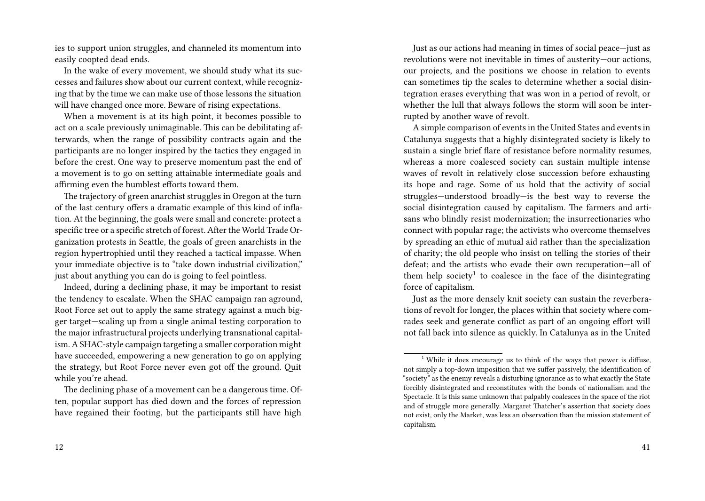ies to support union struggles, and channeled its momentum into easily coopted dead ends.

In the wake of every movement, we should study what its successes and failures show about our current context, while recognizing that by the time we can make use of those lessons the situation will have changed once more. Beware of rising expectations.

When a movement is at its high point, it becomes possible to act on a scale previously unimaginable. This can be debilitating afterwards, when the range of possibility contracts again and the participants are no longer inspired by the tactics they engaged in before the crest. One way to preserve momentum past the end of a movement is to go on setting attainable intermediate goals and affirming even the humblest efforts toward them.

The trajectory of green anarchist struggles in Oregon at the turn of the last century offers a dramatic example of this kind of inflation. At the beginning, the goals were small and concrete: protect a specific tree or a specific stretch of forest. After the World Trade Organization protests in Seattle, the goals of green anarchists in the region hypertrophied until they reached a tactical impasse. When your immediate objective is to "take down industrial civilization," just about anything you can do is going to feel pointless.

Indeed, during a declining phase, it may be important to resist the tendency to escalate. When the SHAC campaign ran aground, Root Force set out to apply the same strategy against a much bigger target—scaling up from a single animal testing corporation to the major infrastructural projects underlying transnational capitalism. A SHAC-style campaign targeting a smaller corporation might have succeeded, empowering a new generation to go on applying the strategy, but Root Force never even got off the ground. Quit while you're ahead.

Just as our actions had meaning in times of social peace—just as revolutions were not inevitable in times of austerity—our actions, our projects, and the positions we choose in relation to events can sometimes tip the scales to determine whether a social disintegration erases everything that was won in a period of revolt, or whether the lull that always follows the storm will soon be interrupted by another wave of revolt.

A simple comparison of events in the United States and events in Catalunya suggests that a highly disintegrated society is likely to sustain a single brief flare of resistance before normality resumes, whereas a more coalesced society can sustain multiple intense waves of revolt in relatively close succession before exhausting its hope and rage. Some of us hold that the activity of social struggles—understood broadly—is the best way to reverse the social disintegration caused by capitalism. The farmers and artisans who blindly resist modernization; the insurrectionaries who connect with popular rage; the activists who overcome themselves by spreading an ethic of mutual aid rather than the specialization of charity; the old people who insist on telling the stories of their defeat; and the artists who evade their own recuperation—all of them help society<sup>1</sup> to coalesce in the face of the disintegrating force of capitalism.

Just as the more densely knit society can sustain the reverberations of revolt for longer, the places within that society where comrades seek and generate conflict as part of an ongoing effort will not fall back into silence as quickly. In Catalunya as in the United

The declining phase of a movement can be a dangerous time. Often, popular support has died down and the forces of repression have regained their footing, but the participants still have high

 $1$ <sup>1</sup> While it does encourage us to think of the ways that power is diffuse, not simply a top-down imposition that we suffer passively, the identification of "society" as the enemy reveals a disturbing ignorance as to what exactly the State forcibly disintegrated and reconstitutes with the bonds of nationalism and the Spectacle. It is this same unknown that palpably coalesces in the space of the riot and of struggle more generally. Margaret Thatcher's assertion that society does not exist, only the Market, was less an observation than the mission statement of capitalism.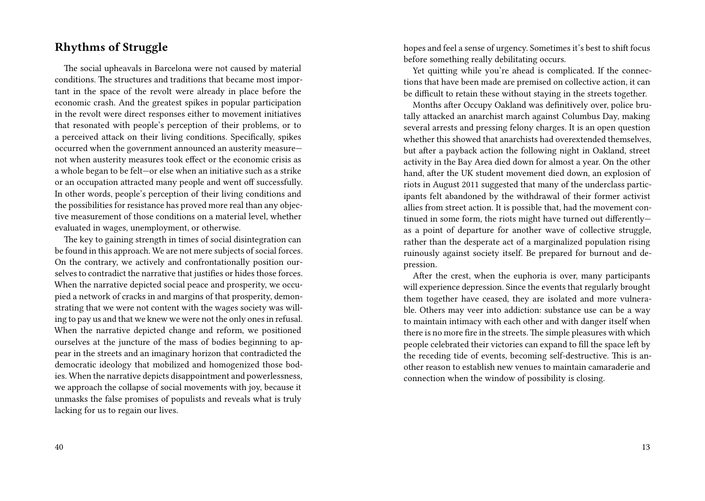#### **Rhythms of Struggle**

The social upheavals in Barcelona were not caused by material conditions. The structures and traditions that became most important in the space of the revolt were already in place before the economic crash. And the greatest spikes in popular participation in the revolt were direct responses either to movement initiatives that resonated with people's perception of their problems, or to a perceived attack on their living conditions. Specifically, spikes occurred when the government announced an austerity measure not when austerity measures took effect or the economic crisis as a whole began to be felt—or else when an initiative such as a strike or an occupation attracted many people and went off successfully. In other words, people's perception of their living conditions and the possibilities for resistance has proved more real than any objective measurement of those conditions on a material level, whether evaluated in wages, unemployment, or otherwise.

The key to gaining strength in times of social disintegration can be found in this approach. We are not mere subjects of social forces. On the contrary, we actively and confrontationally position ourselves to contradict the narrative that justifies or hides those forces. When the narrative depicted social peace and prosperity, we occupied a network of cracks in and margins of that prosperity, demonstrating that we were not content with the wages society was willing to pay us and that we knew we were not the only ones in refusal. When the narrative depicted change and reform, we positioned ourselves at the juncture of the mass of bodies beginning to appear in the streets and an imaginary horizon that contradicted the democratic ideology that mobilized and homogenized those bodies. When the narrative depicts disappointment and powerlessness, we approach the collapse of social movements with joy, because it unmasks the false promises of populists and reveals what is truly lacking for us to regain our lives.

hopes and feel a sense of urgency. Sometimes it's best to shift focus before something really debilitating occurs.

Yet quitting while you're ahead is complicated. If the connections that have been made are premised on collective action, it can be difficult to retain these without staying in the streets together.

Months after Occupy Oakland was definitively over, police brutally attacked an anarchist march against Columbus Day, making several arrests and pressing felony charges. It is an open question whether this showed that anarchists had overextended themselves, but after a payback action the following night in Oakland, street activity in the Bay Area died down for almost a year. On the other hand, after the UK student movement died down, an explosion of riots in August 2011 suggested that many of the underclass participants felt abandoned by the withdrawal of their former activist allies from street action. It is possible that, had the movement continued in some form, the riots might have turned out differently as a point of departure for another wave of collective struggle, rather than the desperate act of a marginalized population rising ruinously against society itself. Be prepared for burnout and depression.

After the crest, when the euphoria is over, many participants will experience depression. Since the events that regularly brought them together have ceased, they are isolated and more vulnerable. Others may veer into addiction: substance use can be a way to maintain intimacy with each other and with danger itself when there is no more fire in the streets. The simple pleasures with which people celebrated their victories can expand to fill the space left by the receding tide of events, becoming self-destructive. This is another reason to establish new venues to maintain camaraderie and connection when the window of possibility is closing.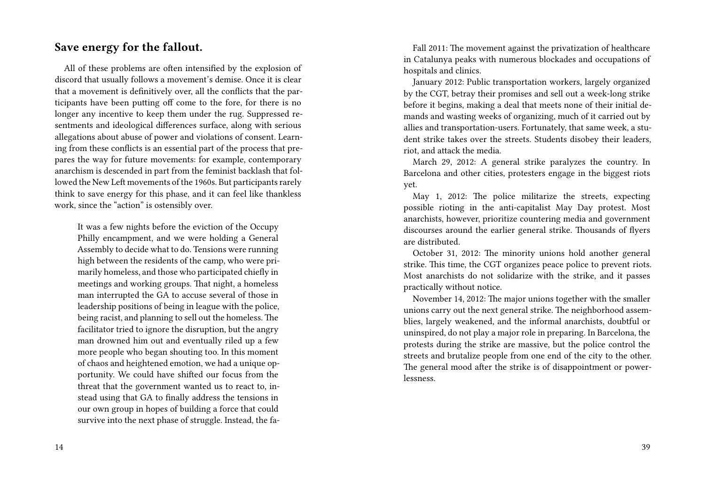#### **Save energy for the fallout.**

All of these problems are often intensified by the explosion of discord that usually follows a movement's demise. Once it is clear that a movement is definitively over, all the conflicts that the participants have been putting off come to the fore, for there is no longer any incentive to keep them under the rug. Suppressed resentments and ideological differences surface, along with serious allegations about abuse of power and violations of consent. Learning from these conflicts is an essential part of the process that prepares the way for future movements: for example, contemporary anarchism is descended in part from the feminist backlash that followed the New Left movements of the 1960s. But participants rarely think to save energy for this phase, and it can feel like thankless work, since the "action" is ostensibly over.

It was a few nights before the eviction of the Occupy Philly encampment, and we were holding a General Assembly to decide what to do. Tensions were running high between the residents of the camp, who were primarily homeless, and those who participated chiefly in meetings and working groups. That night, a homeless man interrupted the GA to accuse several of those in leadership positions of being in league with the police, being racist, and planning to sell out the homeless. The facilitator tried to ignore the disruption, but the angry man drowned him out and eventually riled up a few more people who began shouting too. In this moment of chaos and heightened emotion, we had a unique opportunity. We could have shifted our focus from the threat that the government wanted us to react to, instead using that GA to finally address the tensions in our own group in hopes of building a force that could survive into the next phase of struggle. Instead, the fa-

Fall 2011: The movement against the privatization of healthcare in Catalunya peaks with numerous blockades and occupations of hospitals and clinics.

January 2012: Public transportation workers, largely organized by the CGT, betray their promises and sell out a week-long strike before it begins, making a deal that meets none of their initial demands and wasting weeks of organizing, much of it carried out by allies and transportation-users. Fortunately, that same week, a student strike takes over the streets. Students disobey their leaders, riot, and attack the media.

March 29, 2012: A general strike paralyzes the country. In Barcelona and other cities, protesters engage in the biggest riots yet.

May 1, 2012: The police militarize the streets, expecting possible rioting in the anti-capitalist May Day protest. Most anarchists, however, prioritize countering media and government discourses around the earlier general strike. Thousands of flyers are distributed.

October 31, 2012: The minority unions hold another general strike. This time, the CGT organizes peace police to prevent riots. Most anarchists do not solidarize with the strike, and it passes practically without notice.

November 14, 2012: The major unions together with the smaller unions carry out the next general strike. The neighborhood assemblies, largely weakened, and the informal anarchists, doubtful or uninspired, do not play a major role in preparing. In Barcelona, the protests during the strike are massive, but the police control the streets and brutalize people from one end of the city to the other. The general mood after the strike is of disappointment or powerlessness.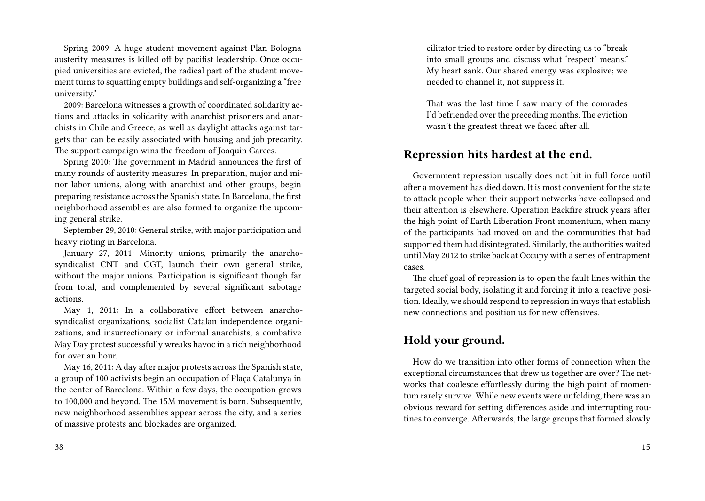Spring 2009: A huge student movement against Plan Bologna austerity measures is killed off by pacifist leadership. Once occupied universities are evicted, the radical part of the student movement turns to squatting empty buildings and self-organizing a "free university."

2009: Barcelona witnesses a growth of coordinated solidarity actions and attacks in solidarity with anarchist prisoners and anarchists in Chile and Greece, as well as daylight attacks against targets that can be easily associated with housing and job precarity. The support campaign wins the freedom of Joaquin Garces.

Spring 2010: The government in Madrid announces the first of many rounds of austerity measures. In preparation, major and minor labor unions, along with anarchist and other groups, begin preparing resistance across the Spanish state. In Barcelona, the first neighborhood assemblies are also formed to organize the upcoming general strike.

September 29, 2010: General strike, with major participation and heavy rioting in Barcelona.

January 27, 2011: Minority unions, primarily the anarchosyndicalist CNT and CGT, launch their own general strike, without the major unions. Participation is significant though far from total, and complemented by several significant sabotage actions.

May 1, 2011: In a collaborative effort between anarchosyndicalist organizations, socialist Catalan independence organizations, and insurrectionary or informal anarchists, a combative May Day protest successfully wreaks havoc in a rich neighborhood for over an hour.

May 16, 2011: A day after major protests across the Spanish state, a group of 100 activists begin an occupation of Plaça Catalunya in the center of Barcelona. Within a few days, the occupation grows to 100,000 and beyond. The 15M movement is born. Subsequently, new neighborhood assemblies appear across the city, and a series of massive protests and blockades are organized.

cilitator tried to restore order by directing us to "break into small groups and discuss what 'respect' means." My heart sank. Our shared energy was explosive; we needed to channel it, not suppress it.

That was the last time I saw many of the comrades I'd befriended over the preceding months. The eviction wasn't the greatest threat we faced after all.

#### **Repression hits hardest at the end.**

Government repression usually does not hit in full force until after a movement has died down. It is most convenient for the state to attack people when their support networks have collapsed and their attention is elsewhere. Operation Backfire struck years after the high point of Earth Liberation Front momentum, when many of the participants had moved on and the communities that had supported them had disintegrated. Similarly, the authorities waited until May 2012 to strike back at Occupy with a series of entrapment cases.

The chief goal of repression is to open the fault lines within the targeted social body, isolating it and forcing it into a reactive position. Ideally, we should respond to repression in ways that establish new connections and position us for new offensives.

#### **Hold your ground.**

How do we transition into other forms of connection when the exceptional circumstances that drew us together are over? The networks that coalesce effortlessly during the high point of momentum rarely survive. While new events were unfolding, there was an obvious reward for setting differences aside and interrupting routines to converge. Afterwards, the large groups that formed slowly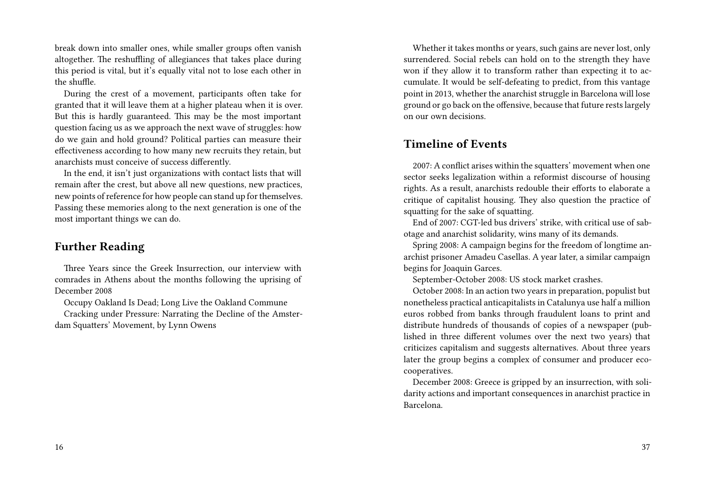break down into smaller ones, while smaller groups often vanish altogether. The reshuffling of allegiances that takes place during this period is vital, but it's equally vital not to lose each other in the shuffle.

During the crest of a movement, participants often take for granted that it will leave them at a higher plateau when it is over. But this is hardly guaranteed. This may be the most important question facing us as we approach the next wave of struggles: how do we gain and hold ground? Political parties can measure their effectiveness according to how many new recruits they retain, but anarchists must conceive of success differently.

In the end, it isn't just organizations with contact lists that will remain after the crest, but above all new questions, new practices, new points of reference for how people can stand up for themselves. Passing these memories along to the next generation is one of the most important things we can do.

#### **Further Reading**

Three Years since the Greek Insurrection, our interview with comrades in Athens about the months following the uprising of December 2008

Occupy Oakland Is Dead; Long Live the Oakland Commune

Cracking under Pressure: Narrating the Decline of the Amsterdam Squatters' Movement, by Lynn Owens

Whether it takes months or years, such gains are never lost, only surrendered. Social rebels can hold on to the strength they have won if they allow it to transform rather than expecting it to accumulate. It would be self-defeating to predict, from this vantage point in 2013, whether the anarchist struggle in Barcelona will lose ground or go back on the offensive, because that future rests largely on our own decisions.

### **Timeline of Events**

2007: A conflict arises within the squatters' movement when one sector seeks legalization within a reformist discourse of housing rights. As a result, anarchists redouble their efforts to elaborate a critique of capitalist housing. They also question the practice of squatting for the sake of squatting.

End of 2007: CGT-led bus drivers' strike, with critical use of sabotage and anarchist solidarity, wins many of its demands.

Spring 2008: A campaign begins for the freedom of longtime anarchist prisoner Amadeu Casellas. A year later, a similar campaign begins for Joaquin Garces.

September-October 2008: US stock market crashes.

October 2008: In an action two years in preparation, populist but nonetheless practical anticapitalists in Catalunya use half a million euros robbed from banks through fraudulent loans to print and distribute hundreds of thousands of copies of a newspaper (published in three different volumes over the next two years) that criticizes capitalism and suggests alternatives. About three years later the group begins a complex of consumer and producer ecocooperatives.

December 2008: Greece is gripped by an insurrection, with solidarity actions and important consequences in anarchist practice in Barcelona.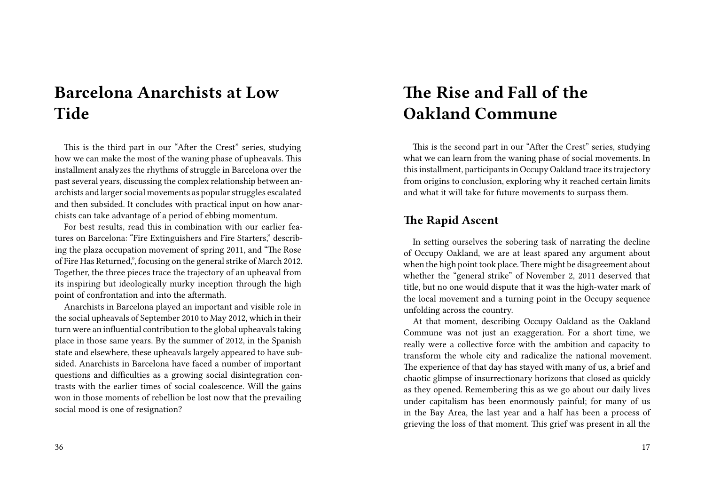# **Barcelona Anarchists at Low Tide**

This is the third part in our "After the Crest" series, studying how we can make the most of the waning phase of upheavals. This installment analyzes the rhythms of struggle in Barcelona over the past several years, discussing the complex relationship between anarchists and larger social movements as popular struggles escalated and then subsided. It concludes with practical input on how anarchists can take advantage of a period of ebbing momentum.

For best results, read this in combination with our earlier features on Barcelona: "Fire Extinguishers and Fire Starters," describing the plaza occupation movement of spring 2011, and "The Rose of Fire Has Returned,", focusing on the general strike of March 2012. Together, the three pieces trace the trajectory of an upheaval from its inspiring but ideologically murky inception through the high point of confrontation and into the aftermath.

Anarchists in Barcelona played an important and visible role in the social upheavals of September 2010 to May 2012, which in their turn were an influential contribution to the global upheavals taking place in those same years. By the summer of 2012, in the Spanish state and elsewhere, these upheavals largely appeared to have subsided. Anarchists in Barcelona have faced a number of important questions and difficulties as a growing social disintegration contrasts with the earlier times of social coalescence. Will the gains won in those moments of rebellion be lost now that the prevailing social mood is one of resignation?

#### 36

# **The Rise and Fall of the Oakland Commune**

This is the second part in our "After the Crest" series, studying what we can learn from the waning phase of social movements. In this installment, participants in Occupy Oakland trace its trajectory from origins to conclusion, exploring why it reached certain limits and what it will take for future movements to surpass them.

### **The Rapid Ascent**

In setting ourselves the sobering task of narrating the decline of Occupy Oakland, we are at least spared any argument about when the high point took place.There might be disagreement about whether the "general strike" of November 2, 2011 deserved that title, but no one would dispute that it was the high-water mark of the local movement and a turning point in the Occupy sequence unfolding across the country.

At that moment, describing Occupy Oakland as the Oakland Commune was not just an exaggeration. For a short time, we really were a collective force with the ambition and capacity to transform the whole city and radicalize the national movement. The experience of that day has stayed with many of us, a brief and chaotic glimpse of insurrectionary horizons that closed as quickly as they opened. Remembering this as we go about our daily lives under capitalism has been enormously painful; for many of us in the Bay Area, the last year and a half has been a process of grieving the loss of that moment. This grief was present in all the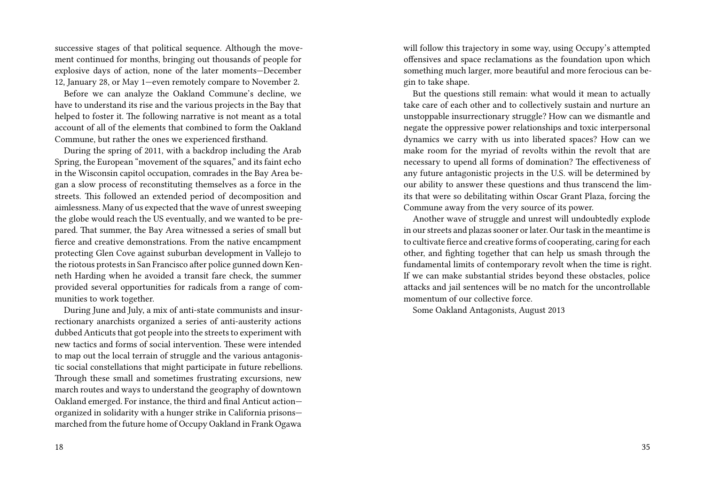successive stages of that political sequence. Although the movement continued for months, bringing out thousands of people for explosive days of action, none of the later moments—December 12, January 28, or May 1—even remotely compare to November 2.

Before we can analyze the Oakland Commune's decline, we have to understand its rise and the various projects in the Bay that helped to foster it. The following narrative is not meant as a total account of all of the elements that combined to form the Oakland Commune, but rather the ones we experienced firsthand.

During the spring of 2011, with a backdrop including the Arab Spring, the European "movement of the squares," and its faint echo in the Wisconsin capitol occupation, comrades in the Bay Area began a slow process of reconstituting themselves as a force in the streets. This followed an extended period of decomposition and aimlessness. Many of us expected that the wave of unrest sweeping the globe would reach the US eventually, and we wanted to be prepared. That summer, the Bay Area witnessed a series of small but fierce and creative demonstrations. From the native encampment protecting Glen Cove against suburban development in Vallejo to the riotous protests in San Francisco after police gunned down Kenneth Harding when he avoided a transit fare check, the summer provided several opportunities for radicals from a range of communities to work together.

During June and July, a mix of anti-state communists and insurrectionary anarchists organized a series of anti-austerity actions dubbed Anticuts that got people into the streets to experiment with new tactics and forms of social intervention. These were intended to map out the local terrain of struggle and the various antagonistic social constellations that might participate in future rebellions. Through these small and sometimes frustrating excursions, new march routes and ways to understand the geography of downtown Oakland emerged. For instance, the third and final Anticut action organized in solidarity with a hunger strike in California prisons marched from the future home of Occupy Oakland in Frank Ogawa

will follow this trajectory in some way, using Occupy's attempted offensives and space reclamations as the foundation upon which something much larger, more beautiful and more ferocious can begin to take shape.

But the questions still remain: what would it mean to actually take care of each other and to collectively sustain and nurture an unstoppable insurrectionary struggle? How can we dismantle and negate the oppressive power relationships and toxic interpersonal dynamics we carry with us into liberated spaces? How can we make room for the myriad of revolts within the revolt that are necessary to upend all forms of domination? The effectiveness of any future antagonistic projects in the U.S. will be determined by our ability to answer these questions and thus transcend the limits that were so debilitating within Oscar Grant Plaza, forcing the Commune away from the very source of its power.

Another wave of struggle and unrest will undoubtedly explode in our streets and plazas sooner or later. Our task in the meantime is to cultivate fierce and creative forms of cooperating, caring for each other, and fighting together that can help us smash through the fundamental limits of contemporary revolt when the time is right. If we can make substantial strides beyond these obstacles, police attacks and jail sentences will be no match for the uncontrollable momentum of our collective force

Some Oakland Antagonists, August 2013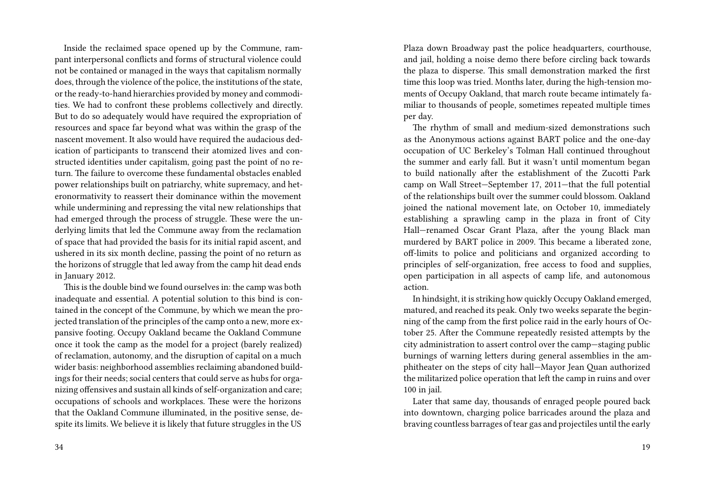Inside the reclaimed space opened up by the Commune, rampant interpersonal conflicts and forms of structural violence could not be contained or managed in the ways that capitalism normally does, through the violence of the police, the institutions of the state, or the ready-to-hand hierarchies provided by money and commodities. We had to confront these problems collectively and directly. But to do so adequately would have required the expropriation of resources and space far beyond what was within the grasp of the nascent movement. It also would have required the audacious dedication of participants to transcend their atomized lives and constructed identities under capitalism, going past the point of no return. The failure to overcome these fundamental obstacles enabled power relationships built on patriarchy, white supremacy, and heteronormativity to reassert their dominance within the movement while undermining and repressing the vital new relationships that had emerged through the process of struggle. These were the underlying limits that led the Commune away from the reclamation of space that had provided the basis for its initial rapid ascent, and ushered in its six month decline, passing the point of no return as the horizons of struggle that led away from the camp hit dead ends in January 2012.

This is the double bind we found ourselves in: the camp was both inadequate and essential. A potential solution to this bind is contained in the concept of the Commune, by which we mean the projected translation of the principles of the camp onto a new, more expansive footing. Occupy Oakland became the Oakland Commune once it took the camp as the model for a project (barely realized) of reclamation, autonomy, and the disruption of capital on a much wider basis: neighborhood assemblies reclaiming abandoned buildings for their needs; social centers that could serve as hubs for organizing offensives and sustain all kinds of self-organization and care; occupations of schools and workplaces. These were the horizons that the Oakland Commune illuminated, in the positive sense, despite its limits. We believe it is likely that future struggles in the US Plaza down Broadway past the police headquarters, courthouse, and jail, holding a noise demo there before circling back towards the plaza to disperse. This small demonstration marked the first time this loop was tried. Months later, during the high-tension moments of Occupy Oakland, that march route became intimately familiar to thousands of people, sometimes repeated multiple times per day.

The rhythm of small and medium-sized demonstrations such as the Anonymous actions against BART police and the one-day occupation of UC Berkeley's Tolman Hall continued throughout the summer and early fall. But it wasn't until momentum began to build nationally after the establishment of the Zucotti Park camp on Wall Street—September 17, 2011—that the full potential of the relationships built over the summer could blossom. Oakland joined the national movement late, on October 10, immediately establishing a sprawling camp in the plaza in front of City Hall—renamed Oscar Grant Plaza, after the young Black man murdered by BART police in 2009. This became a liberated zone, off-limits to police and politicians and organized according to principles of self-organization, free access to food and supplies, open participation in all aspects of camp life, and autonomous action.

In hindsight, it is striking how quickly Occupy Oakland emerged, matured, and reached its peak. Only two weeks separate the beginning of the camp from the first police raid in the early hours of October 25. After the Commune repeatedly resisted attempts by the city administration to assert control over the camp—staging public burnings of warning letters during general assemblies in the amphitheater on the steps of city hall—Mayor Jean Quan authorized the militarized police operation that left the camp in ruins and over 100 in jail.

Later that same day, thousands of enraged people poured back into downtown, charging police barricades around the plaza and braving countless barrages of tear gas and projectiles until the early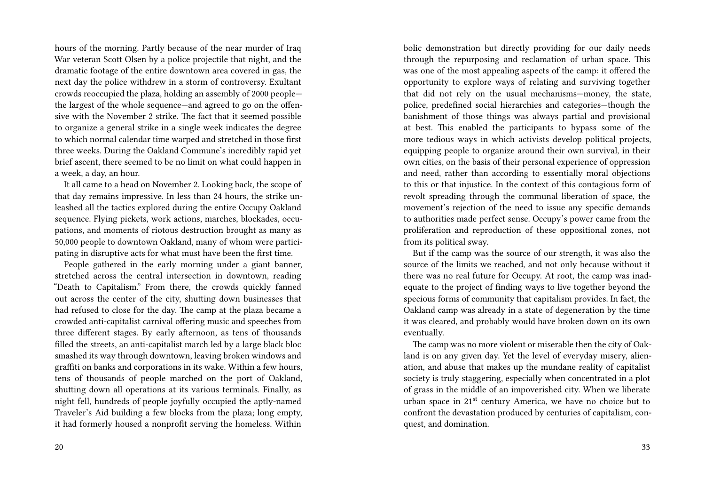hours of the morning. Partly because of the near murder of Iraq War veteran Scott Olsen by a police projectile that night, and the dramatic footage of the entire downtown area covered in gas, the next day the police withdrew in a storm of controversy. Exultant crowds reoccupied the plaza, holding an assembly of 2000 people the largest of the whole sequence—and agreed to go on the offensive with the November 2 strike. The fact that it seemed possible to organize a general strike in a single week indicates the degree to which normal calendar time warped and stretched in those first three weeks. During the Oakland Commune's incredibly rapid yet brief ascent, there seemed to be no limit on what could happen in a week, a day, an hour.

It all came to a head on November 2. Looking back, the scope of that day remains impressive. In less than 24 hours, the strike unleashed all the tactics explored during the entire Occupy Oakland sequence. Flying pickets, work actions, marches, blockades, occupations, and moments of riotous destruction brought as many as 50,000 people to downtown Oakland, many of whom were participating in disruptive acts for what must have been the first time.

People gathered in the early morning under a giant banner, stretched across the central intersection in downtown, reading "Death to Capitalism." From there, the crowds quickly fanned out across the center of the city, shutting down businesses that had refused to close for the day. The camp at the plaza became a crowded anti-capitalist carnival offering music and speeches from three different stages. By early afternoon, as tens of thousands filled the streets, an anti-capitalist march led by a large black bloc smashed its way through downtown, leaving broken windows and graffiti on banks and corporations in its wake. Within a few hours, tens of thousands of people marched on the port of Oakland, shutting down all operations at its various terminals. Finally, as night fell, hundreds of people joyfully occupied the aptly-named Traveler's Aid building a few blocks from the plaza; long empty, it had formerly housed a nonprofit serving the homeless. Within bolic demonstration but directly providing for our daily needs through the repurposing and reclamation of urban space. This was one of the most appealing aspects of the camp: it offered the opportunity to explore ways of relating and surviving together that did not rely on the usual mechanisms—money, the state, police, predefined social hierarchies and categories—though the banishment of those things was always partial and provisional at best. This enabled the participants to bypass some of the more tedious ways in which activists develop political projects, equipping people to organize around their own survival, in their own cities, on the basis of their personal experience of oppression and need, rather than according to essentially moral objections to this or that injustice. In the context of this contagious form of revolt spreading through the communal liberation of space, the movement's rejection of the need to issue any specific demands to authorities made perfect sense. Occupy's power came from the proliferation and reproduction of these oppositional zones, not from its political sway.

But if the camp was the source of our strength, it was also the source of the limits we reached, and not only because without it there was no real future for Occupy. At root, the camp was inadequate to the project of finding ways to live together beyond the specious forms of community that capitalism provides. In fact, the Oakland camp was already in a state of degeneration by the time it was cleared, and probably would have broken down on its own eventually.

The camp was no more violent or miserable then the city of Oakland is on any given day. Yet the level of everyday misery, alienation, and abuse that makes up the mundane reality of capitalist society is truly staggering, especially when concentrated in a plot of grass in the middle of an impoverished city. When we liberate urban space in 21<sup>st</sup> century America, we have no choice but to confront the devastation produced by centuries of capitalism, conquest, and domination.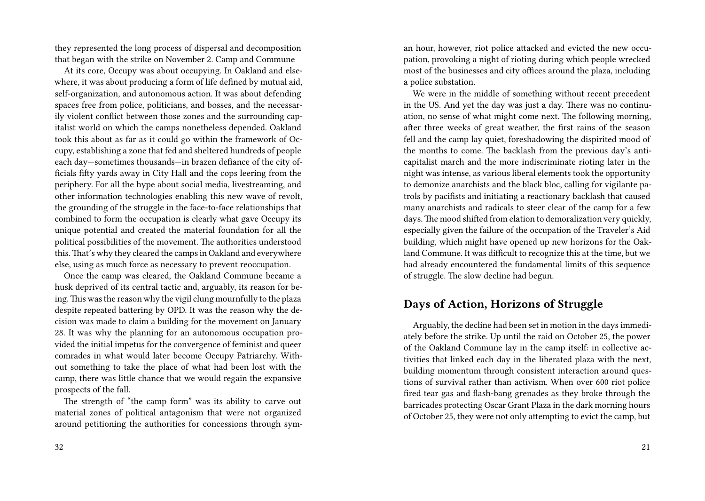they represented the long process of dispersal and decomposition that began with the strike on November 2. Camp and Commune

At its core, Occupy was about occupying. In Oakland and elsewhere, it was about producing a form of life defined by mutual aid, self-organization, and autonomous action. It was about defending spaces free from police, politicians, and bosses, and the necessarily violent conflict between those zones and the surrounding capitalist world on which the camps nonetheless depended. Oakland took this about as far as it could go within the framework of Occupy, establishing a zone that fed and sheltered hundreds of people each day—sometimes thousands—in brazen defiance of the city officials fifty yards away in City Hall and the cops leering from the periphery. For all the hype about social media, livestreaming, and other information technologies enabling this new wave of revolt, the grounding of the struggle in the face-to-face relationships that combined to form the occupation is clearly what gave Occupy its unique potential and created the material foundation for all the political possibilities of the movement. The authorities understood this.That's why they cleared the camps in Oakland and everywhere else, using as much force as necessary to prevent reoccupation.

Once the camp was cleared, the Oakland Commune became a husk deprived of its central tactic and, arguably, its reason for being.This was the reason why the vigil clung mournfully to the plaza despite repeated battering by OPD. It was the reason why the decision was made to claim a building for the movement on January 28. It was why the planning for an autonomous occupation provided the initial impetus for the convergence of feminist and queer comrades in what would later become Occupy Patriarchy. Without something to take the place of what had been lost with the camp, there was little chance that we would regain the expansive prospects of the fall.

The strength of "the camp form" was its ability to carve out material zones of political antagonism that were not organized around petitioning the authorities for concessions through syman hour, however, riot police attacked and evicted the new occupation, provoking a night of rioting during which people wrecked most of the businesses and city offices around the plaza, including a police substation.

We were in the middle of something without recent precedent in the US. And yet the day was just a day. There was no continuation, no sense of what might come next. The following morning, after three weeks of great weather, the first rains of the season fell and the camp lay quiet, foreshadowing the dispirited mood of the months to come. The backlash from the previous day's anticapitalist march and the more indiscriminate rioting later in the night was intense, as various liberal elements took the opportunity to demonize anarchists and the black bloc, calling for vigilante patrols by pacifists and initiating a reactionary backlash that caused many anarchists and radicals to steer clear of the camp for a few days. The mood shifted from elation to demoralization very quickly, especially given the failure of the occupation of the Traveler's Aid building, which might have opened up new horizons for the Oakland Commune. It was difficult to recognize this at the time, but we had already encountered the fundamental limits of this sequence of struggle. The slow decline had begun.

#### **Days of Action, Horizons of Struggle**

Arguably, the decline had been set in motion in the days immediately before the strike. Up until the raid on October 25, the power of the Oakland Commune lay in the camp itself: in collective activities that linked each day in the liberated plaza with the next, building momentum through consistent interaction around questions of survival rather than activism. When over 600 riot police fired tear gas and flash-bang grenades as they broke through the barricades protecting Oscar Grant Plaza in the dark morning hours of October 25, they were not only attempting to evict the camp, but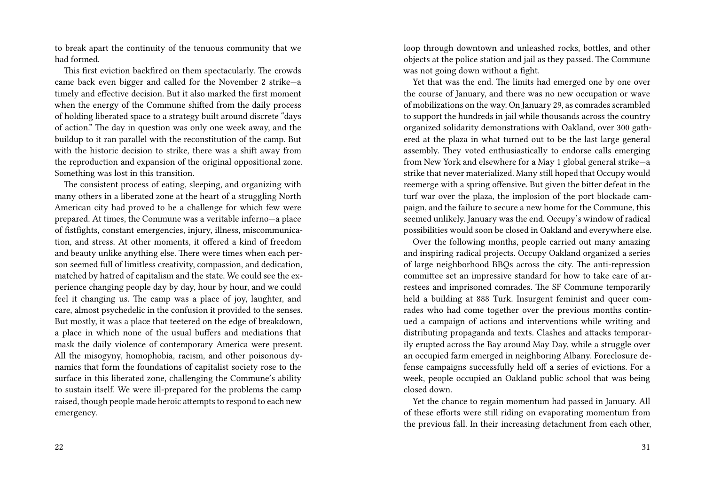to break apart the continuity of the tenuous community that we had formed.

This first eviction backfired on them spectacularly. The crowds came back even bigger and called for the November 2 strike—a timely and effective decision. But it also marked the first moment when the energy of the Commune shifted from the daily process of holding liberated space to a strategy built around discrete "days of action." The day in question was only one week away, and the buildup to it ran parallel with the reconstitution of the camp. But with the historic decision to strike, there was a shift away from the reproduction and expansion of the original oppositional zone. Something was lost in this transition.

The consistent process of eating, sleeping, and organizing with many others in a liberated zone at the heart of a struggling North American city had proved to be a challenge for which few were prepared. At times, the Commune was a veritable inferno—a place of fistfights, constant emergencies, injury, illness, miscommunication, and stress. At other moments, it offered a kind of freedom and beauty unlike anything else. There were times when each person seemed full of limitless creativity, compassion, and dedication, matched by hatred of capitalism and the state. We could see the experience changing people day by day, hour by hour, and we could feel it changing us. The camp was a place of joy, laughter, and care, almost psychedelic in the confusion it provided to the senses. But mostly, it was a place that teetered on the edge of breakdown, a place in which none of the usual buffers and mediations that mask the daily violence of contemporary America were present. All the misogyny, homophobia, racism, and other poisonous dynamics that form the foundations of capitalist society rose to the surface in this liberated zone, challenging the Commune's ability to sustain itself. We were ill-prepared for the problems the camp raised, though people made heroic attempts to respond to each new emergency.

loop through downtown and unleashed rocks, bottles, and other objects at the police station and jail as they passed. The Commune was not going down without a fight.

Yet that was the end. The limits had emerged one by one over the course of January, and there was no new occupation or wave of mobilizations on the way. On January 29, as comrades scrambled to support the hundreds in jail while thousands across the country organized solidarity demonstrations with Oakland, over 300 gathered at the plaza in what turned out to be the last large general assembly. They voted enthusiastically to endorse calls emerging from New York and elsewhere for a May 1 global general strike—a strike that never materialized. Many still hoped that Occupy would reemerge with a spring offensive. But given the bitter defeat in the turf war over the plaza, the implosion of the port blockade campaign, and the failure to secure a new home for the Commune, this seemed unlikely. January was the end. Occupy's window of radical possibilities would soon be closed in Oakland and everywhere else.

Over the following months, people carried out many amazing and inspiring radical projects. Occupy Oakland organized a series of large neighborhood BBQs across the city. The anti-repression committee set an impressive standard for how to take care of arrestees and imprisoned comrades. The SF Commune temporarily held a building at 888 Turk. Insurgent feminist and queer comrades who had come together over the previous months continued a campaign of actions and interventions while writing and distributing propaganda and texts. Clashes and attacks temporarily erupted across the Bay around May Day, while a struggle over an occupied farm emerged in neighboring Albany. Foreclosure defense campaigns successfully held off a series of evictions. For a week, people occupied an Oakland public school that was being closed down.

Yet the chance to regain momentum had passed in January. All of these efforts were still riding on evaporating momentum from the previous fall. In their increasing detachment from each other,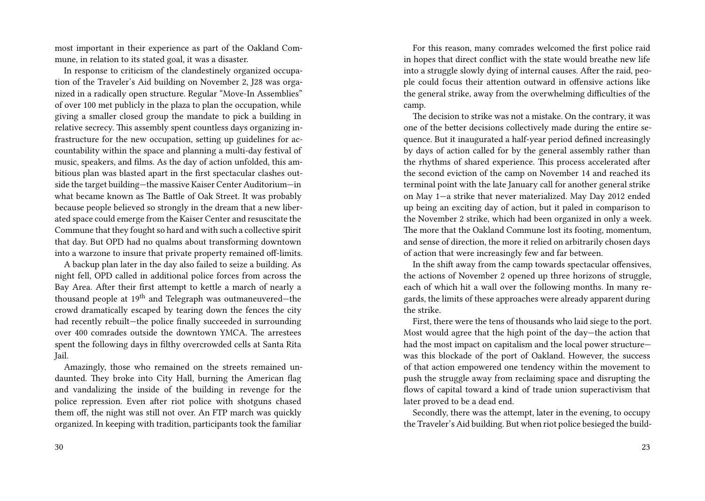most important in their experience as part of the Oakland Commune, in relation to its stated goal, it was a disaster.

In response to criticism of the clandestinely organized occupation of the Traveler's Aid building on November 2, J28 was organized in a radically open structure. Regular "Move-In Assemblies" of over 100 met publicly in the plaza to plan the occupation, while giving a smaller closed group the mandate to pick a building in relative secrecy. This assembly spent countless days organizing infrastructure for the new occupation, setting up guidelines for accountability within the space and planning a multi-day festival of music, speakers, and films. As the day of action unfolded, this ambitious plan was blasted apart in the first spectacular clashes outside the target building—the massive Kaiser Center Auditorium—in what became known as The Battle of Oak Street. It was probably because people believed so strongly in the dream that a new liberated space could emerge from the Kaiser Center and resuscitate the Commune that they fought so hard and with such a collective spirit that day. But OPD had no qualms about transforming downtown into a warzone to insure that private property remained off-limits.

A backup plan later in the day also failed to seize a building. As night fell, OPD called in additional police forces from across the Bay Area. After their first attempt to kettle a march of nearly a thousand people at 19th and Telegraph was outmaneuvered—the crowd dramatically escaped by tearing down the fences the city had recently rebuilt—the police finally succeeded in surrounding over 400 comrades outside the downtown YMCA. The arrestees spent the following days in filthy overcrowded cells at Santa Rita Jail.

Amazingly, those who remained on the streets remained undaunted. They broke into City Hall, burning the American flag and vandalizing the inside of the building in revenge for the police repression. Even after riot police with shotguns chased them off, the night was still not over. An FTP march was quickly organized. In keeping with tradition, participants took the familiar

30

For this reason, many comrades welcomed the first police raid in hopes that direct conflict with the state would breathe new life into a struggle slowly dying of internal causes. After the raid, people could focus their attention outward in offensive actions like the general strike, away from the overwhelming difficulties of the camp.

The decision to strike was not a mistake. On the contrary, it was one of the better decisions collectively made during the entire sequence. But it inaugurated a half-year period defined increasingly by days of action called for by the general assembly rather than the rhythms of shared experience. This process accelerated after the second eviction of the camp on November 14 and reached its terminal point with the late January call for another general strike on May 1—a strike that never materialized. May Day 2012 ended up being an exciting day of action, but it paled in comparison to the November 2 strike, which had been organized in only a week. The more that the Oakland Commune lost its footing, momentum, and sense of direction, the more it relied on arbitrarily chosen days of action that were increasingly few and far between.

In the shift away from the camp towards spectacular offensives, the actions of November 2 opened up three horizons of struggle, each of which hit a wall over the following months. In many regards, the limits of these approaches were already apparent during the strike.

First, there were the tens of thousands who laid siege to the port. Most would agree that the high point of the day—the action that had the most impact on capitalism and the local power structure was this blockade of the port of Oakland. However, the success of that action empowered one tendency within the movement to push the struggle away from reclaiming space and disrupting the flows of capital toward a kind of trade union superactivism that later proved to be a dead end.

Secondly, there was the attempt, later in the evening, to occupy the Traveler's Aid building. But when riot police besieged the build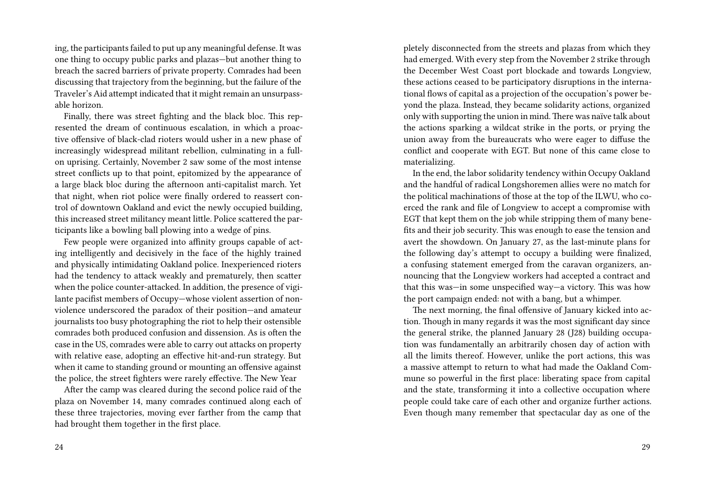ing, the participants failed to put up any meaningful defense. It was one thing to occupy public parks and plazas—but another thing to breach the sacred barriers of private property. Comrades had been discussing that trajectory from the beginning, but the failure of the Traveler's Aid attempt indicated that it might remain an unsurpassable horizon.

Finally, there was street fighting and the black bloc. This represented the dream of continuous escalation, in which a proactive offensive of black-clad rioters would usher in a new phase of increasingly widespread militant rebellion, culminating in a fullon uprising. Certainly, November 2 saw some of the most intense street conflicts up to that point, epitomized by the appearance of a large black bloc during the afternoon anti-capitalist march. Yet that night, when riot police were finally ordered to reassert control of downtown Oakland and evict the newly occupied building, this increased street militancy meant little. Police scattered the participants like a bowling ball plowing into a wedge of pins.

Few people were organized into affinity groups capable of acting intelligently and decisively in the face of the highly trained and physically intimidating Oakland police. Inexperienced rioters had the tendency to attack weakly and prematurely, then scatter when the police counter-attacked. In addition, the presence of vigilante pacifist members of Occupy—whose violent assertion of nonviolence underscored the paradox of their position—and amateur journalists too busy photographing the riot to help their ostensible comrades both produced confusion and dissension. As is often the case in the US, comrades were able to carry out attacks on property with relative ease, adopting an effective hit-and-run strategy. But when it came to standing ground or mounting an offensive against the police, the street fighters were rarely effective. The New Year

After the camp was cleared during the second police raid of the plaza on November 14, many comrades continued along each of these three trajectories, moving ever farther from the camp that had brought them together in the first place.

pletely disconnected from the streets and plazas from which they had emerged. With every step from the November 2 strike through the December West Coast port blockade and towards Longview, these actions ceased to be participatory disruptions in the international flows of capital as a projection of the occupation's power beyond the plaza. Instead, they became solidarity actions, organized only with supporting the union in mind. There was naïve talk about the actions sparking a wildcat strike in the ports, or prying the union away from the bureaucrats who were eager to diffuse the conflict and cooperate with EGT. But none of this came close to materializing.

In the end, the labor solidarity tendency within Occupy Oakland and the handful of radical Longshoremen allies were no match for the political machinations of those at the top of the ILWU, who coerced the rank and file of Longview to accept a compromise with EGT that kept them on the job while stripping them of many benefits and their job security. This was enough to ease the tension and avert the showdown. On January 27, as the last-minute plans for the following day's attempt to occupy a building were finalized, a confusing statement emerged from the caravan organizers, announcing that the Longview workers had accepted a contract and that this was—in some unspecified way—a victory. This was how the port campaign ended: not with a bang, but a whimper.

The next morning, the final offensive of January kicked into action. Though in many regards it was the most significant day since the general strike, the planned January 28 (J28) building occupation was fundamentally an arbitrarily chosen day of action with all the limits thereof. However, unlike the port actions, this was a massive attempt to return to what had made the Oakland Commune so powerful in the first place: liberating space from capital and the state, transforming it into a collective occupation where people could take care of each other and organize further actions. Even though many remember that spectacular day as one of the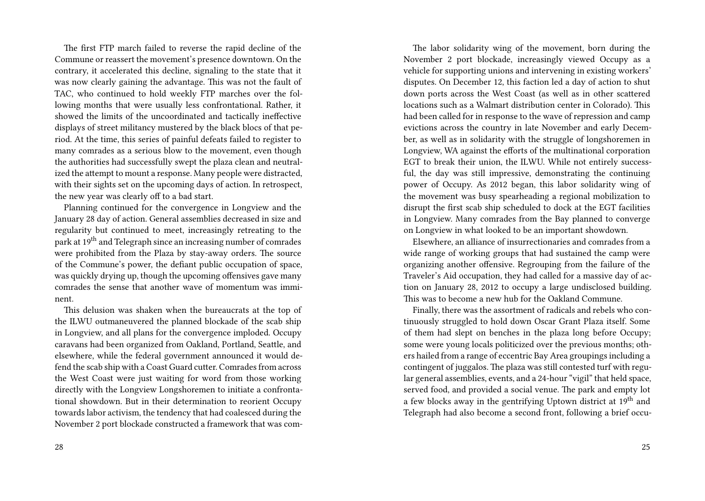The first FTP march failed to reverse the rapid decline of the Commune or reassert the movement's presence downtown. On the contrary, it accelerated this decline, signaling to the state that it was now clearly gaining the advantage. This was not the fault of TAC, who continued to hold weekly FTP marches over the following months that were usually less confrontational. Rather, it showed the limits of the uncoordinated and tactically ineffective displays of street militancy mustered by the black blocs of that period. At the time, this series of painful defeats failed to register to many comrades as a serious blow to the movement, even though the authorities had successfully swept the plaza clean and neutralized the attempt to mount a response. Many people were distracted, with their sights set on the upcoming days of action. In retrospect, the new year was clearly off to a bad start.

Planning continued for the convergence in Longview and the January 28 day of action. General assemblies decreased in size and regularity but continued to meet, increasingly retreating to the park at 19th and Telegraph since an increasing number of comrades were prohibited from the Plaza by stay-away orders. The source of the Commune's power, the defiant public occupation of space, was quickly drying up, though the upcoming offensives gave many comrades the sense that another wave of momentum was imminent.

This delusion was shaken when the bureaucrats at the top of the ILWU outmaneuvered the planned blockade of the scab ship in Longview, and all plans for the convergence imploded. Occupy caravans had been organized from Oakland, Portland, Seattle, and elsewhere, while the federal government announced it would defend the scab ship with a Coast Guard cutter. Comrades from across the West Coast were just waiting for word from those working directly with the Longview Longshoremen to initiate a confrontational showdown. But in their determination to reorient Occupy towards labor activism, the tendency that had coalesced during the November 2 port blockade constructed a framework that was com-

The labor solidarity wing of the movement, born during the November 2 port blockade, increasingly viewed Occupy as a vehicle for supporting unions and intervening in existing workers' disputes. On December 12, this faction led a day of action to shut down ports across the West Coast (as well as in other scattered locations such as a Walmart distribution center in Colorado). This had been called for in response to the wave of repression and camp evictions across the country in late November and early December, as well as in solidarity with the struggle of longshoremen in Longview, WA against the efforts of the multinational corporation EGT to break their union, the ILWU. While not entirely successful, the day was still impressive, demonstrating the continuing power of Occupy. As 2012 began, this labor solidarity wing of the movement was busy spearheading a regional mobilization to disrupt the first scab ship scheduled to dock at the EGT facilities in Longview. Many comrades from the Bay planned to converge on Longview in what looked to be an important showdown.

Elsewhere, an alliance of insurrectionaries and comrades from a wide range of working groups that had sustained the camp were organizing another offensive. Regrouping from the failure of the Traveler's Aid occupation, they had called for a massive day of action on January 28, 2012 to occupy a large undisclosed building. This was to become a new hub for the Oakland Commune.

Finally, there was the assortment of radicals and rebels who continuously struggled to hold down Oscar Grant Plaza itself. Some of them had slept on benches in the plaza long before Occupy; some were young locals politicized over the previous months; others hailed from a range of eccentric Bay Area groupings including a contingent of juggalos. The plaza was still contested turf with regular general assemblies, events, and a 24-hour "vigil" that held space, served food, and provided a social venue. The park and empty lot a few blocks away in the gentrifying Uptown district at 19<sup>th</sup> and Telegraph had also become a second front, following a brief occu-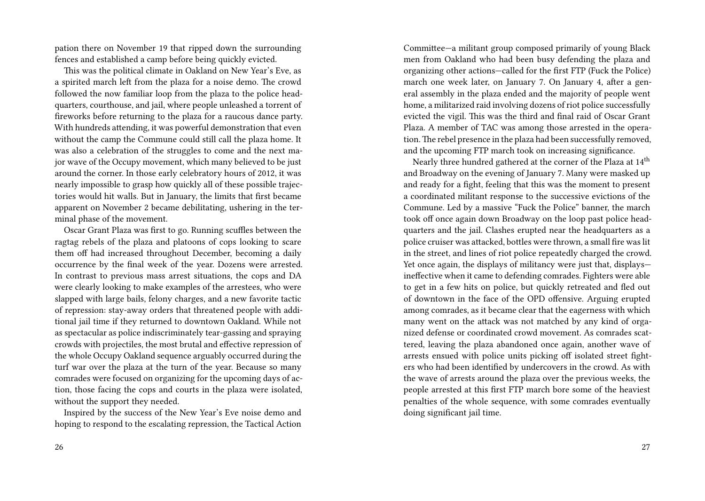pation there on November 19 that ripped down the surrounding fences and established a camp before being quickly evicted.

This was the political climate in Oakland on New Year's Eve, as a spirited march left from the plaza for a noise demo. The crowd followed the now familiar loop from the plaza to the police headquarters, courthouse, and jail, where people unleashed a torrent of fireworks before returning to the plaza for a raucous dance party. With hundreds attending, it was powerful demonstration that even without the camp the Commune could still call the plaza home. It was also a celebration of the struggles to come and the next major wave of the Occupy movement, which many believed to be just around the corner. In those early celebratory hours of 2012, it was nearly impossible to grasp how quickly all of these possible trajectories would hit walls. But in January, the limits that first became apparent on November 2 became debilitating, ushering in the terminal phase of the movement.

Oscar Grant Plaza was first to go. Running scuffles between the ragtag rebels of the plaza and platoons of cops looking to scare them off had increased throughout December, becoming a daily occurrence by the final week of the year. Dozens were arrested. In contrast to previous mass arrest situations, the cops and DA were clearly looking to make examples of the arrestees, who were slapped with large bails, felony charges, and a new favorite tactic of repression: stay-away orders that threatened people with additional jail time if they returned to downtown Oakland. While not as spectacular as police indiscriminately tear-gassing and spraying crowds with projectiles, the most brutal and effective repression of the whole Occupy Oakland sequence arguably occurred during the turf war over the plaza at the turn of the year. Because so many comrades were focused on organizing for the upcoming days of action, those facing the cops and courts in the plaza were isolated, without the support they needed.

Inspired by the success of the New Year's Eve noise demo and hoping to respond to the escalating repression, the Tactical Action

Committee—a militant group composed primarily of young Black men from Oakland who had been busy defending the plaza and organizing other actions—called for the first FTP (Fuck the Police) march one week later, on January 7. On January 4, after a general assembly in the plaza ended and the majority of people went home, a militarized raid involving dozens of riot police successfully evicted the vigil. This was the third and final raid of Oscar Grant Plaza. A member of TAC was among those arrested in the operation.The rebel presence in the plaza had been successfully removed, and the upcoming FTP march took on increasing significance.

Nearly three hundred gathered at the corner of the Plaza at 14<sup>th</sup> and Broadway on the evening of January 7. Many were masked up and ready for a fight, feeling that this was the moment to present a coordinated militant response to the successive evictions of the Commune. Led by a massive "Fuck the Police" banner, the march took off once again down Broadway on the loop past police headquarters and the jail. Clashes erupted near the headquarters as a police cruiser was attacked, bottles were thrown, a small fire was lit in the street, and lines of riot police repeatedly charged the crowd. Yet once again, the displays of militancy were just that, displays ineffective when it came to defending comrades. Fighters were able to get in a few hits on police, but quickly retreated and fled out of downtown in the face of the OPD offensive. Arguing erupted among comrades, as it became clear that the eagerness with which many went on the attack was not matched by any kind of organized defense or coordinated crowd movement. As comrades scattered, leaving the plaza abandoned once again, another wave of arrests ensued with police units picking off isolated street fighters who had been identified by undercovers in the crowd. As with the wave of arrests around the plaza over the previous weeks, the people arrested at this first FTP march bore some of the heaviest penalties of the whole sequence, with some comrades eventually doing significant jail time.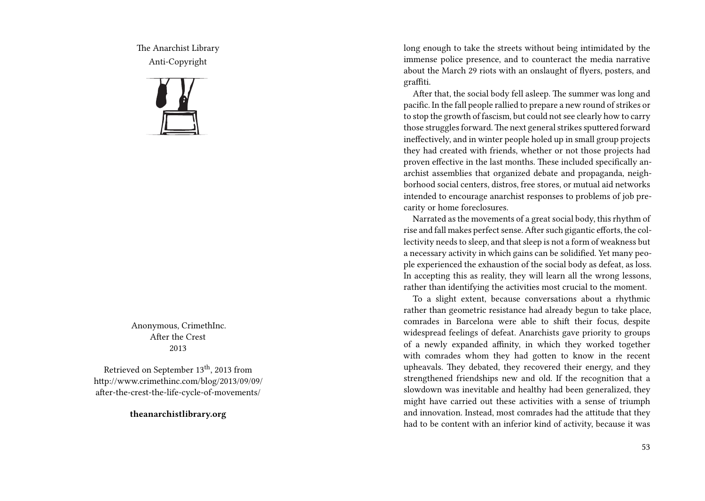The Anarchist Library Anti-Copyright



Anonymous, CrimethInc. After the Crest 2013

Retrieved on September 13<sup>th</sup>, 2013 from http://www.crimethinc.com/blog/2013/09/09/ after-the-crest-the-life-cycle-of-movements/

**theanarchistlibrary.org**

long enough to take the streets without being intimidated by the immense police presence, and to counteract the media narrative about the March 29 riots with an onslaught of flyers, posters, and graffiti.

After that, the social body fell asleep. The summer was long and pacific. In the fall people rallied to prepare a new round of strikes or to stop the growth of fascism, but could not see clearly how to carry those struggles forward.The next general strikes sputtered forward ineffectively, and in winter people holed up in small group projects they had created with friends, whether or not those projects had proven effective in the last months. These included specifically anarchist assemblies that organized debate and propaganda, neighborhood social centers, distros, free stores, or mutual aid networks intended to encourage anarchist responses to problems of job precarity or home foreclosures.

Narrated as the movements of a great social body, this rhythm of rise and fall makes perfect sense. After such gigantic efforts, the collectivity needs to sleep, and that sleep is not a form of weakness but a necessary activity in which gains can be solidified. Yet many people experienced the exhaustion of the social body as defeat, as loss. In accepting this as reality, they will learn all the wrong lessons, rather than identifying the activities most crucial to the moment.

To a slight extent, because conversations about a rhythmic rather than geometric resistance had already begun to take place, comrades in Barcelona were able to shift their focus, despite widespread feelings of defeat. Anarchists gave priority to groups of a newly expanded affinity, in which they worked together with comrades whom they had gotten to know in the recent upheavals. They debated, they recovered their energy, and they strengthened friendships new and old. If the recognition that a slowdown was inevitable and healthy had been generalized, they might have carried out these activities with a sense of triumph and innovation. Instead, most comrades had the attitude that they had to be content with an inferior kind of activity, because it was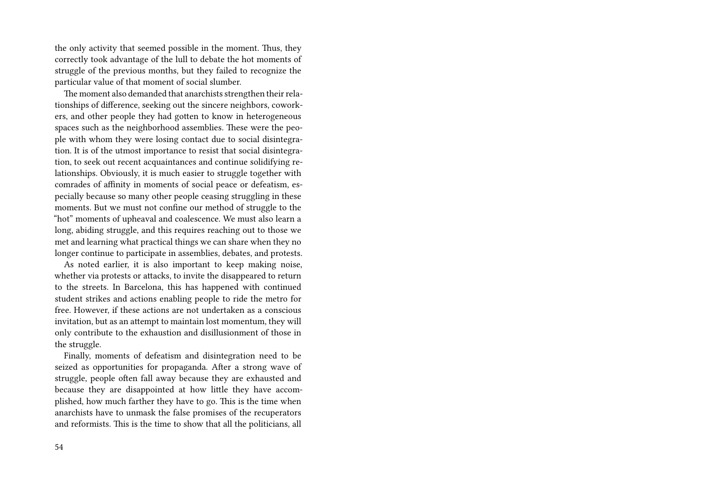the only activity that seemed possible in the moment. Thus, they correctly took advantage of the lull to debate the hot moments of struggle of the previous months, but they failed to recognize the particular value of that moment of social slumber.

The moment also demanded that anarchists strengthen their relationships of difference, seeking out the sincere neighbors, coworkers, and other people they had gotten to know in heterogeneous spaces such as the neighborhood assemblies. These were the people with whom they were losing contact due to social disintegration. It is of the utmost importance to resist that social disintegration, to seek out recent acquaintances and continue solidifying relationships. Obviously, it is much easier to struggle together with comrades of affinity in moments of social peace or defeatism, especially because so many other people ceasing struggling in these moments. But we must not confine our method of struggle to the "hot" moments of upheaval and coalescence. We must also learn a long, abiding struggle, and this requires reaching out to those we met and learning what practical things we can share when they no longer continue to participate in assemblies, debates, and protests.

As noted earlier, it is also important to keep making noise, whether via protests or attacks, to invite the disappeared to return to the streets. In Barcelona, this has happened with continued student strikes and actions enabling people to ride the metro for free. However, if these actions are not undertaken as a conscious invitation, but as an attempt to maintain lost momentum, they will only contribute to the exhaustion and disillusionment of those in the struggle.

Finally, moments of defeatism and disintegration need to be seized as opportunities for propaganda. After a strong wave of struggle, people often fall away because they are exhausted and because they are disappointed at how little they have accomplished, how much farther they have to go. This is the time when anarchists have to unmask the false promises of the recuperators and reformists. This is the time to show that all the politicians, all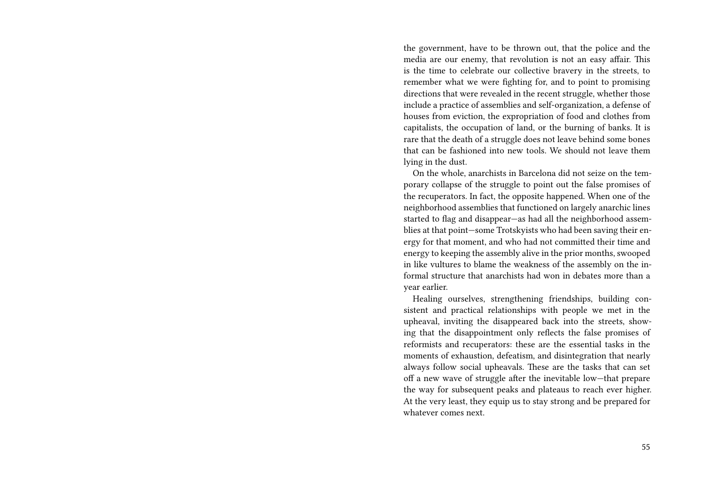the government, have to be thrown out, that the police and the media are our enemy, that revolution is not an easy affair. This is the time to celebrate our collective bravery in the streets, to remember what we were fighting for, and to point to promising directions that were revealed in the recent struggle, whether those include a practice of assemblies and self-organization, a defense of houses from eviction, the expropriation of food and clothes from capitalists, the occupation of land, or the burning of banks. It is rare that the death of a struggle does not leave behind some bones that can be fashioned into new tools. We should not leave them lying in the dust.

On the whole, anarchists in Barcelona did not seize on the temporary collapse of the struggle to point out the false promises of the recuperators. In fact, the opposite happened. When one of the neighborhood assemblies that functioned on largely anarchic lines started to flag and disappear—as had all the neighborhood assemblies at that point—some Trotskyists who had been saving their energy for that moment, and who had not committed their time and energy to keeping the assembly alive in the prior months, swooped in like vultures to blame the weakness of the assembly on the informal structure that anarchists had won in debates more than a year earlier.

Healing ourselves, strengthening friendships, building consistent and practical relationships with people we met in the upheaval, inviting the disappeared back into the streets, showing that the disappointment only reflects the false promises of reformists and recuperators: these are the essential tasks in the moments of exhaustion, defeatism, and disintegration that nearly always follow social upheavals. These are the tasks that can set off a new wave of struggle after the inevitable low—that prepare the way for subsequent peaks and plateaus to reach ever higher. At the very least, they equip us to stay strong and be prepared for whatever comes next.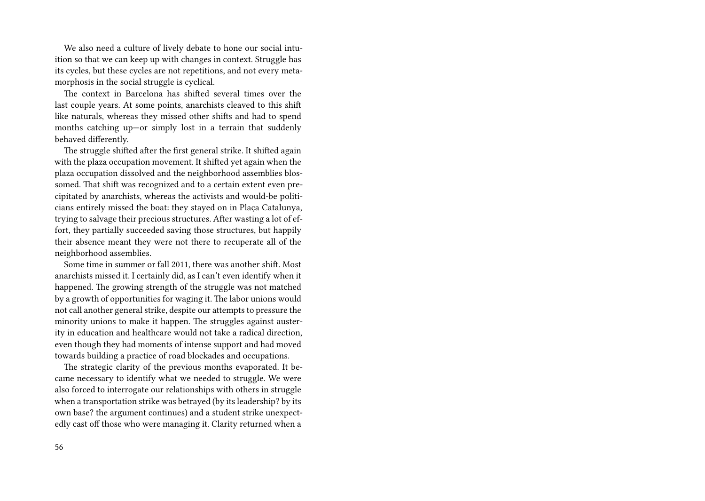We also need a culture of lively debate to hone our social intuition so that we can keep up with changes in context. Struggle has its cycles, but these cycles are not repetitions, and not every metamorphosis in the social struggle is cyclical.

The context in Barcelona has shifted several times over the last couple years. At some points, anarchists cleaved to this shift like naturals, whereas they missed other shifts and had to spend months catching up—or simply lost in a terrain that suddenly behaved differently.

The struggle shifted after the first general strike. It shifted again with the plaza occupation movement. It shifted yet again when the plaza occupation dissolved and the neighborhood assemblies blossomed. That shift was recognized and to a certain extent even precipitated by anarchists, whereas the activists and would-be politicians entirely missed the boat: they stayed on in Plaça Catalunya, trying to salvage their precious structures. After wasting a lot of effort, they partially succeeded saving those structures, but happily their absence meant they were not there to recuperate all of the neighborhood assemblies.

Some time in summer or fall 2011, there was another shift. Most anarchists missed it. I certainly did, as I can't even identify when it happened. The growing strength of the struggle was not matched by a growth of opportunities for waging it. The labor unions would not call another general strike, despite our attempts to pressure the minority unions to make it happen. The struggles against austerity in education and healthcare would not take a radical direction, even though they had moments of intense support and had moved towards building a practice of road blockades and occupations.

The strategic clarity of the previous months evaporated. It became necessary to identify what we needed to struggle. We were also forced to interrogate our relationships with others in struggle when a transportation strike was betrayed (by its leadership? by its own base? the argument continues) and a student strike unexpectedly cast off those who were managing it. Clarity returned when a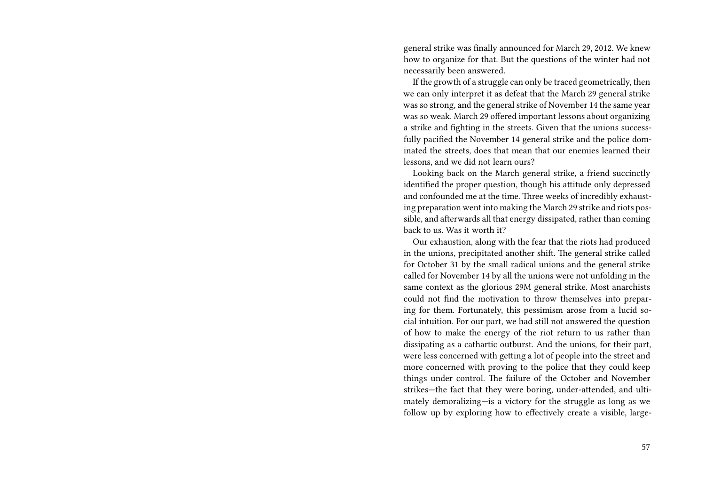general strike was finally announced for March 29, 2012. We knew how to organize for that. But the questions of the winter had not necessarily been answered.

If the growth of a struggle can only be traced geometrically, then we can only interpret it as defeat that the March 29 general strike was so strong, and the general strike of November 14 the same year was so weak. March 29 offered important lessons about organizing a strike and fighting in the streets. Given that the unions successfully pacified the November 14 general strike and the police dominated the streets, does that mean that our enemies learned their lessons, and we did not learn ours?

Looking back on the March general strike, a friend succinctly identified the proper question, though his attitude only depressed and confounded me at the time. Three weeks of incredibly exhausting preparation went into making the March 29 strike and riots possible, and afterwards all that energy dissipated, rather than coming back to us. Was it worth it?

Our exhaustion, along with the fear that the riots had produced in the unions, precipitated another shift. The general strike called for October 31 by the small radical unions and the general strike called for November 14 by all the unions were not unfolding in the same context as the glorious 29M general strike. Most anarchists could not find the motivation to throw themselves into preparing for them. Fortunately, this pessimism arose from a lucid social intuition. For our part, we had still not answered the question of how to make the energy of the riot return to us rather than dissipating as a cathartic outburst. And the unions, for their part, were less concerned with getting a lot of people into the street and more concerned with proving to the police that they could keep things under control. The failure of the October and November strikes—the fact that they were boring, under-attended, and ultimately demoralizing—is a victory for the struggle as long as we follow up by exploring how to effectively create a visible, large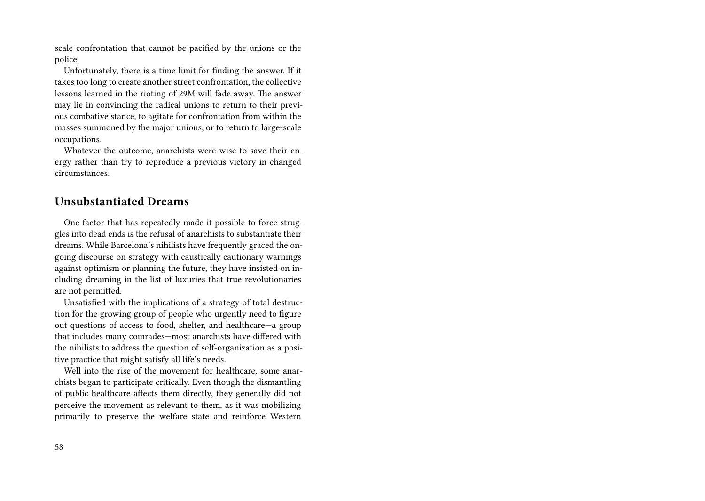scale confrontation that cannot be pacified by the unions or the police.

Unfortunately, there is a time limit for finding the answer. If it takes too long to create another street confrontation, the collective lessons learned in the rioting of 29M will fade away. The answer may lie in convincing the radical unions to return to their previous combative stance, to agitate for confrontation from within the masses summoned by the major unions, or to return to large-scale occupations.

Whatever the outcome, anarchists were wise to save their energy rather than try to reproduce a previous victory in changed circumstances.

#### **Unsubstantiated Dreams**

One factor that has repeatedly made it possible to force struggles into dead ends is the refusal of anarchists to substantiate their dreams. While Barcelona's nihilists have frequently graced the ongoing discourse on strategy with caustically cautionary warnings against optimism or planning the future, they have insisted on including dreaming in the list of luxuries that true revolutionaries are not permitted.

Unsatisfied with the implications of a strategy of total destruction for the growing group of people who urgently need to figure out questions of access to food, shelter, and healthcare—a group that includes many comrades—most anarchists have differed with the nihilists to address the question of self-organization as a positive practice that might satisfy all life's needs.

Well into the rise of the movement for healthcare, some anarchists began to participate critically. Even though the dismantling of public healthcare affects them directly, they generally did not perceive the movement as relevant to them, as it was mobilizing primarily to preserve the welfare state and reinforce Western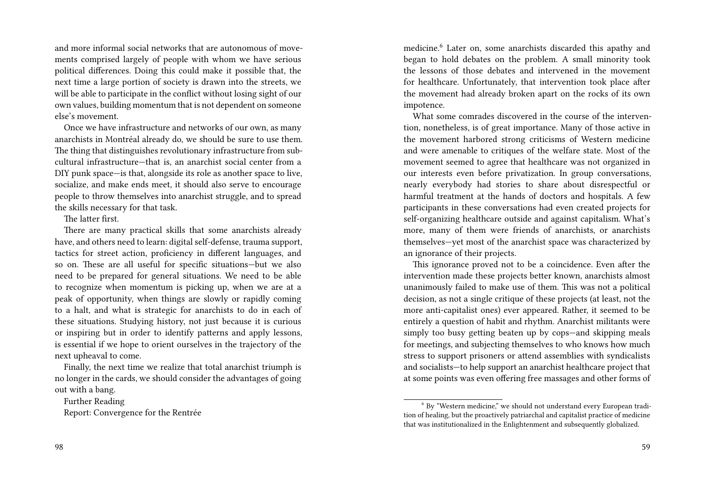and more informal social networks that are autonomous of movements comprised largely of people with whom we have serious political differences. Doing this could make it possible that, the next time a large portion of society is drawn into the streets, we will be able to participate in the conflict without losing sight of our own values, building momentum that is not dependent on someone else's movement.

Once we have infrastructure and networks of our own, as many anarchists in Montréal already do, we should be sure to use them. The thing that distinguishes revolutionary infrastructure from subcultural infrastructure—that is, an anarchist social center from a DIY punk space—is that, alongside its role as another space to live, socialize, and make ends meet, it should also serve to encourage people to throw themselves into anarchist struggle, and to spread the skills necessary for that task.

The latter first.

There are many practical skills that some anarchists already have, and others need to learn: digital self-defense, trauma support, tactics for street action, proficiency in different languages, and so on. These are all useful for specific situations—but we also need to be prepared for general situations. We need to be able to recognize when momentum is picking up, when we are at a peak of opportunity, when things are slowly or rapidly coming to a halt, and what is strategic for anarchists to do in each of these situations. Studying history, not just because it is curious or inspiring but in order to identify patterns and apply lessons, is essential if we hope to orient ourselves in the trajectory of the next upheaval to come.

Finally, the next time we realize that total anarchist triumph is no longer in the cards, we should consider the advantages of going out with a bang.

Further Reading

Report: Convergence for the Rentrée

medicine.<sup>6</sup> Later on, some anarchists discarded this apathy and began to hold debates on the problem. A small minority took the lessons of those debates and intervened in the movement for healthcare. Unfortunately, that intervention took place after the movement had already broken apart on the rocks of its own impotence.

What some comrades discovered in the course of the intervention, nonetheless, is of great importance. Many of those active in the movement harbored strong criticisms of Western medicine and were amenable to critiques of the welfare state. Most of the movement seemed to agree that healthcare was not organized in our interests even before privatization. In group conversations, nearly everybody had stories to share about disrespectful or harmful treatment at the hands of doctors and hospitals. A few participants in these conversations had even created projects for self-organizing healthcare outside and against capitalism. What's more, many of them were friends of anarchists, or anarchists themselves—yet most of the anarchist space was characterized by an ignorance of their projects.

This ignorance proved not to be a coincidence. Even after the intervention made these projects better known, anarchists almost unanimously failed to make use of them. This was not a political decision, as not a single critique of these projects (at least, not the more anti-capitalist ones) ever appeared. Rather, it seemed to be entirely a question of habit and rhythm. Anarchist militants were simply too busy getting beaten up by cops—and skipping meals for meetings, and subjecting themselves to who knows how much stress to support prisoners or attend assemblies with syndicalists and socialists—to help support an anarchist healthcare project that at some points was even offering free massages and other forms of

<sup>6</sup> By "Western medicine," we should not understand every European tradition of healing, but the proactively patriarchal and capitalist practice of medicine that was institutionalized in the Enlightenment and subsequently globalized.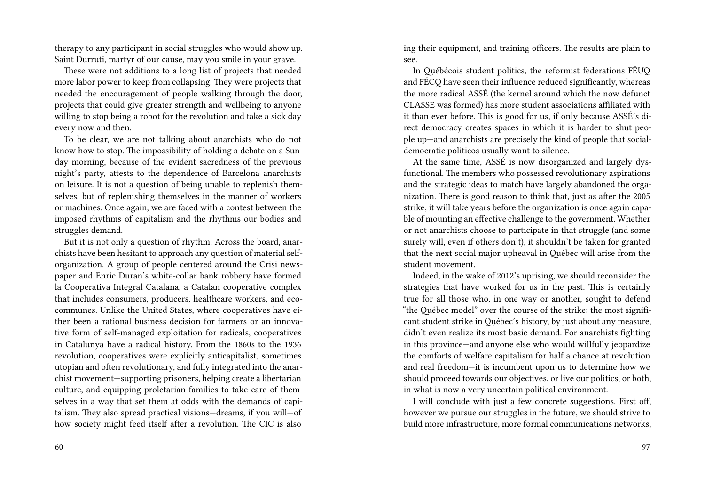therapy to any participant in social struggles who would show up. Saint Durruti, martyr of our cause, may you smile in your grave.

These were not additions to a long list of projects that needed more labor power to keep from collapsing. They were projects that needed the encouragement of people walking through the door, projects that could give greater strength and wellbeing to anyone willing to stop being a robot for the revolution and take a sick day every now and then.

To be clear, we are not talking about anarchists who do not know how to stop. The impossibility of holding a debate on a Sunday morning, because of the evident sacredness of the previous night's party, attests to the dependence of Barcelona anarchists on leisure. It is not a question of being unable to replenish themselves, but of replenishing themselves in the manner of workers or machines. Once again, we are faced with a contest between the imposed rhythms of capitalism and the rhythms our bodies and struggles demand.

But it is not only a question of rhythm. Across the board, anarchists have been hesitant to approach any question of material selforganization. A group of people centered around the Crisi newspaper and Enric Duran's white-collar bank robbery have formed la Cooperativa Integral Catalana, a Catalan cooperative complex that includes consumers, producers, healthcare workers, and ecocommunes. Unlike the United States, where cooperatives have either been a rational business decision for farmers or an innovative form of self-managed exploitation for radicals, cooperatives in Catalunya have a radical history. From the 1860s to the 1936 revolution, cooperatives were explicitly anticapitalist, sometimes utopian and often revolutionary, and fully integrated into the anarchist movement—supporting prisoners, helping create a libertarian culture, and equipping proletarian families to take care of themselves in a way that set them at odds with the demands of capitalism. They also spread practical visions—dreams, if you will—of how society might feed itself after a revolution. The CIC is also

60

ing their equipment, and training officers. The results are plain to see.

In Québécois student politics, the reformist federations FÉUQ and FÉCQ have seen their influence reduced significantly, whereas the more radical ASSÉ (the kernel around which the now defunct CLASSE was formed) has more student associations affiliated with it than ever before. This is good for us, if only because ASSÉ's direct democracy creates spaces in which it is harder to shut people up—and anarchists are precisely the kind of people that socialdemocratic politicos usually want to silence.

At the same time, ASSÉ is now disorganized and largely dysfunctional. The members who possessed revolutionary aspirations and the strategic ideas to match have largely abandoned the organization. There is good reason to think that, just as after the 2005 strike, it will take years before the organization is once again capable of mounting an effective challenge to the government. Whether or not anarchists choose to participate in that struggle (and some surely will, even if others don't), it shouldn't be taken for granted that the next social major upheaval in Québec will arise from the student movement.

Indeed, in the wake of 2012's uprising, we should reconsider the strategies that have worked for us in the past. This is certainly true for all those who, in one way or another, sought to defend "the Québec model" over the course of the strike: the most significant student strike in Québec's history, by just about any measure, didn't even realize its most basic demand. For anarchists fighting in this province—and anyone else who would willfully jeopardize the comforts of welfare capitalism for half a chance at revolution and real freedom—it is incumbent upon us to determine how we should proceed towards our objectives, or live our politics, or both, in what is now a very uncertain political environment.

I will conclude with just a few concrete suggestions. First off, however we pursue our struggles in the future, we should strive to build more infrastructure, more formal communications networks,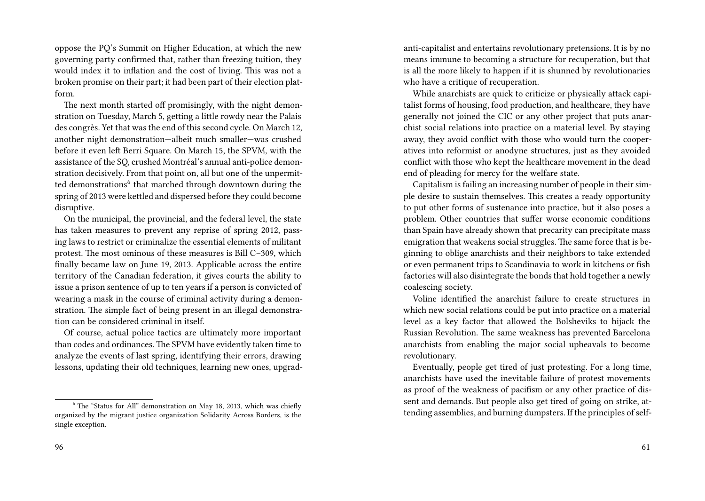oppose the PQ's Summit on Higher Education, at which the new governing party confirmed that, rather than freezing tuition, they would index it to inflation and the cost of living. This was not a broken promise on their part; it had been part of their election platform.

The next month started off promisingly, with the night demonstration on Tuesday, March 5, getting a little rowdy near the Palais des congrès. Yet that was the end of this second cycle. On March 12, another night demonstration—albeit much smaller—was crushed before it even left Berri Square. On March 15, the SPVM, with the assistance of the SQ, crushed Montréal's annual anti-police demonstration decisively. From that point on, all but one of the unpermitted demonstrations<sup>6</sup> that marched through downtown during the spring of 2013 were kettled and dispersed before they could become disruptive.

On the municipal, the provincial, and the federal level, the state has taken measures to prevent any reprise of spring 2012, passing laws to restrict or criminalize the essential elements of militant protest. The most ominous of these measures is Bill C–309, which finally became law on June 19, 2013. Applicable across the entire territory of the Canadian federation, it gives courts the ability to issue a prison sentence of up to ten years if a person is convicted of wearing a mask in the course of criminal activity during a demonstration. The simple fact of being present in an illegal demonstration can be considered criminal in itself.

Of course, actual police tactics are ultimately more important than codes and ordinances. The SPVM have evidently taken time to analyze the events of last spring, identifying their errors, drawing lessons, updating their old techniques, learning new ones, upgrad-

anti-capitalist and entertains revolutionary pretensions. It is by no means immune to becoming a structure for recuperation, but that is all the more likely to happen if it is shunned by revolutionaries who have a critique of recuperation.

While anarchists are quick to criticize or physically attack capitalist forms of housing, food production, and healthcare, they have generally not joined the CIC or any other project that puts anarchist social relations into practice on a material level. By staying away, they avoid conflict with those who would turn the cooperatives into reformist or anodyne structures, just as they avoided conflict with those who kept the healthcare movement in the dead end of pleading for mercy for the welfare state.

Capitalism is failing an increasing number of people in their simple desire to sustain themselves. This creates a ready opportunity to put other forms of sustenance into practice, but it also poses a problem. Other countries that suffer worse economic conditions than Spain have already shown that precarity can precipitate mass emigration that weakens social struggles. The same force that is beginning to oblige anarchists and their neighbors to take extended or even permanent trips to Scandinavia to work in kitchens or fish factories will also disintegrate the bonds that hold together a newly coalescing society.

Voline identified the anarchist failure to create structures in which new social relations could be put into practice on a material level as a key factor that allowed the Bolsheviks to hijack the Russian Revolution. The same weakness has prevented Barcelona anarchists from enabling the major social upheavals to become revolutionary.

Eventually, people get tired of just protesting. For a long time, anarchists have used the inevitable failure of protest movements as proof of the weakness of pacifism or any other practice of dissent and demands. But people also get tired of going on strike, attending assemblies, and burning dumpsters. If the principles of self-

<sup>6</sup> The "Status for All" demonstration on May 18, 2013, which was chiefly organized by the migrant justice organization Solidarity Across Borders, is the single exception.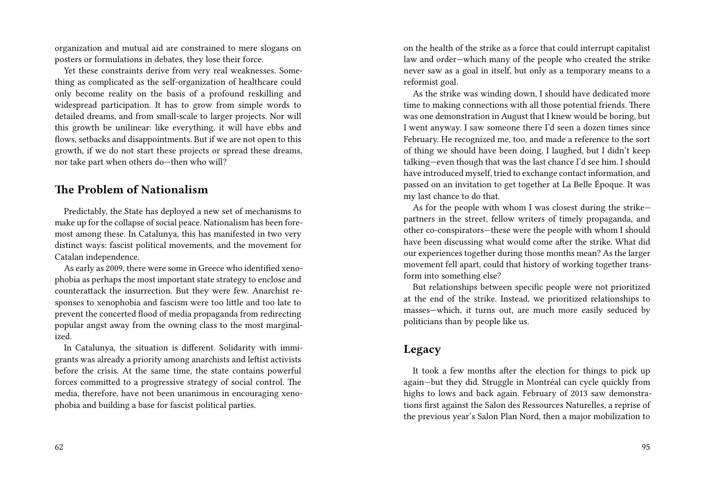organization and mutual aid are constrained to mere slogans on posters or formulations in debates, they lose their force.

Yet these constraints derive from very real weaknesses. Something as complicated as the self-organization of healthcare could only become reality on the basis of a profound reskilling and widespread participation. It has to grow from simple words to detailed dreams, and from small-scale to larger projects. Nor will this growth be unilinear: like everything, it will have ebbs and flows, setbacks and disappointments. But if we are not open to this growth, if we do not start these projects or spread these dreams, nor take part when others do—then who will?

### **The Problem of Nationalism**

Predictably, the State has deployed a new set of mechanisms to make up for the collapse of social peace. Nationalism has been foremost among these. In Catalunya, this has manifested in two very distinct ways: fascist political movements, and the movement for Catalan independence.

As early as 2009, there were some in Greece who identified xenophobia as perhaps the most important state strategy to enclose and counterattack the insurrection. But they were few. Anarchist responses to xenophobia and fascism were too little and too late to prevent the concerted flood of media propaganda from redirecting popular angst away from the owning class to the most marginalized.

In Catalunya, the situation is different. Solidarity with immigrants was already a priority among anarchists and leftist activists before the crisis. At the same time, the state contains powerful forces committed to a progressive strategy of social control. The media, therefore, have not been unanimous in encouraging xenophobia and building a base for fascist political parties.

on the health of the strike as a force that could interrupt capitalist law and order—which many of the people who created the strike never saw as a goal in itself, but only as a temporary means to a reformist goal.

As the strike was winding down, I should have dedicated more time to making connections with all those potential friends. There was one demonstration in August that I knew would be boring, but I went anyway. I saw someone there I'd seen a dozen times since February. He recognized me, too, and made a reference to the sort of thing we should have been doing. I laughed, but I didn't keep talking—even though that was the last chance I'd see him. I should have introduced myself, tried to exchange contact information, and passed on an invitation to get together at La Belle Époque. It was my last chance to do that.

As for the people with whom I was closest during the strike partners in the street, fellow writers of timely propaganda, and other co-conspirators—these were the people with whom I should have been discussing what would come after the strike. What did our experiences together during those months mean? As the larger movement fell apart, could that history of working together transform into something else?

But relationships between specific people were not prioritized at the end of the strike. Instead, we prioritized relationships to masses—which, it turns out, are much more easily seduced by politicians than by people like us.

### **Legacy**

It took a few months after the election for things to pick up again—but they did. Struggle in Montréal can cycle quickly from highs to lows and back again. February of 2013 saw demonstrations first against the Salon des Ressources Naturelles, a reprise of the previous year's Salon Plan Nord, then a major mobilization to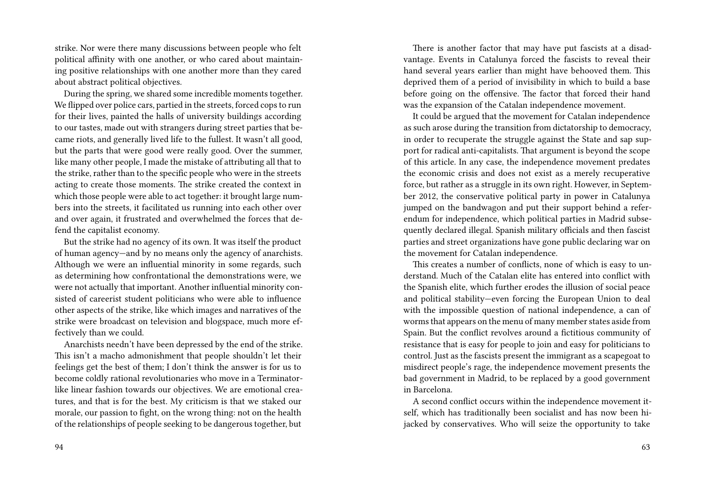strike. Nor were there many discussions between people who felt political affinity with one another, or who cared about maintaining positive relationships with one another more than they cared about abstract political objectives.

During the spring, we shared some incredible moments together. We flipped over police cars, partied in the streets, forced cops to run for their lives, painted the halls of university buildings according to our tastes, made out with strangers during street parties that became riots, and generally lived life to the fullest. It wasn't all good, but the parts that were good were really good. Over the summer, like many other people, I made the mistake of attributing all that to the strike, rather than to the specific people who were in the streets acting to create those moments. The strike created the context in which those people were able to act together: it brought large numbers into the streets, it facilitated us running into each other over and over again, it frustrated and overwhelmed the forces that defend the capitalist economy.

But the strike had no agency of its own. It was itself the product of human agency—and by no means only the agency of anarchists. Although we were an influential minority in some regards, such as determining how confrontational the demonstrations were, we were not actually that important. Another influential minority consisted of careerist student politicians who were able to influence other aspects of the strike, like which images and narratives of the strike were broadcast on television and blogspace, much more effectively than we could.

Anarchists needn't have been depressed by the end of the strike. This isn't a macho admonishment that people shouldn't let their feelings get the best of them; I don't think the answer is for us to become coldly rational revolutionaries who move in a Terminatorlike linear fashion towards our objectives. We are emotional creatures, and that is for the best. My criticism is that we staked our morale, our passion to fight, on the wrong thing: not on the health of the relationships of people seeking to be dangerous together, but

There is another factor that may have put fascists at a disadvantage. Events in Catalunya forced the fascists to reveal their hand several years earlier than might have behooved them. This deprived them of a period of invisibility in which to build a base before going on the offensive. The factor that forced their hand was the expansion of the Catalan independence movement.

It could be argued that the movement for Catalan independence as such arose during the transition from dictatorship to democracy, in order to recuperate the struggle against the State and sap support for radical anti-capitalists. That argument is beyond the scope of this article. In any case, the independence movement predates the economic crisis and does not exist as a merely recuperative force, but rather as a struggle in its own right. However, in September 2012, the conservative political party in power in Catalunya jumped on the bandwagon and put their support behind a referendum for independence, which political parties in Madrid subsequently declared illegal. Spanish military officials and then fascist parties and street organizations have gone public declaring war on the movement for Catalan independence.

This creates a number of conflicts, none of which is easy to understand. Much of the Catalan elite has entered into conflict with the Spanish elite, which further erodes the illusion of social peace and political stability—even forcing the European Union to deal with the impossible question of national independence, a can of worms that appears on the menu of many member states aside from Spain. But the conflict revolves around a fictitious community of resistance that is easy for people to join and easy for politicians to control. Just as the fascists present the immigrant as a scapegoat to misdirect people's rage, the independence movement presents the bad government in Madrid, to be replaced by a good government in Barcelona.

A second conflict occurs within the independence movement itself, which has traditionally been socialist and has now been hijacked by conservatives. Who will seize the opportunity to take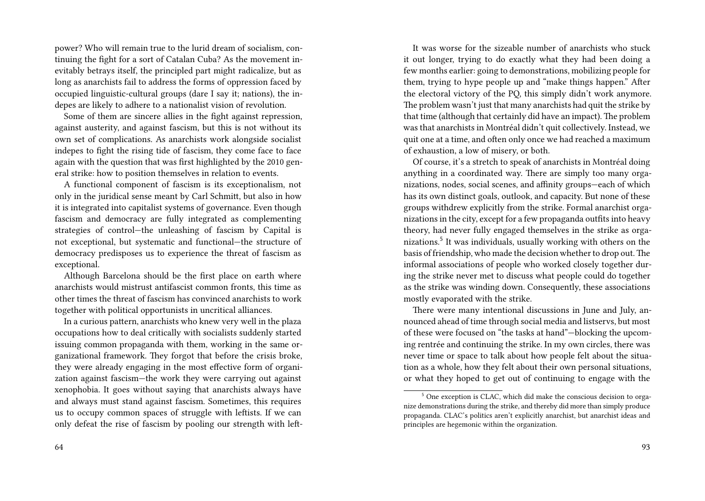power? Who will remain true to the lurid dream of socialism, continuing the fight for a sort of Catalan Cuba? As the movement inevitably betrays itself, the principled part might radicalize, but as long as anarchists fail to address the forms of oppression faced by occupied linguistic-cultural groups (dare I say it; nations), the indepes are likely to adhere to a nationalist vision of revolution.

Some of them are sincere allies in the fight against repression, against austerity, and against fascism, but this is not without its own set of complications. As anarchists work alongside socialist indepes to fight the rising tide of fascism, they come face to face again with the question that was first highlighted by the 2010 general strike: how to position themselves in relation to events.

A functional component of fascism is its exceptionalism, not only in the juridical sense meant by Carl Schmitt, but also in how it is integrated into capitalist systems of governance. Even though fascism and democracy are fully integrated as complementing strategies of control—the unleashing of fascism by Capital is not exceptional, but systematic and functional—the structure of democracy predisposes us to experience the threat of fascism as exceptional.

Although Barcelona should be the first place on earth where anarchists would mistrust antifascist common fronts, this time as other times the threat of fascism has convinced anarchists to work together with political opportunists in uncritical alliances.

In a curious pattern, anarchists who knew very well in the plaza occupations how to deal critically with socialists suddenly started issuing common propaganda with them, working in the same organizational framework. They forgot that before the crisis broke, they were already engaging in the most effective form of organization against fascism—the work they were carrying out against xenophobia. It goes without saying that anarchists always have and always must stand against fascism. Sometimes, this requires us to occupy common spaces of struggle with leftists. If we can only defeat the rise of fascism by pooling our strength with left-

64

It was worse for the sizeable number of anarchists who stuck it out longer, trying to do exactly what they had been doing a few months earlier: going to demonstrations, mobilizing people for them, trying to hype people up and "make things happen." After the electoral victory of the PQ, this simply didn't work anymore. The problem wasn't just that many anarchists had quit the strike by that time (although that certainly did have an impact). The problem was that anarchists in Montréal didn't quit collectively. Instead, we quit one at a time, and often only once we had reached a maximum of exhaustion, a low of misery, or both.

Of course, it's a stretch to speak of anarchists in Montréal doing anything in a coordinated way. There are simply too many organizations, nodes, social scenes, and affinity groups—each of which has its own distinct goals, outlook, and capacity. But none of these groups withdrew explicitly from the strike. Formal anarchist organizations in the city, except for a few propaganda outfits into heavy theory, had never fully engaged themselves in the strike as organizations.<sup>5</sup> It was individuals, usually working with others on the basis of friendship, who made the decision whether to drop out.The informal associations of people who worked closely together during the strike never met to discuss what people could do together as the strike was winding down. Consequently, these associations mostly evaporated with the strike.

There were many intentional discussions in June and July, announced ahead of time through social media and listservs, but most of these were focused on "the tasks at hand"—blocking the upcoming rentrée and continuing the strike. In my own circles, there was never time or space to talk about how people felt about the situation as a whole, how they felt about their own personal situations, or what they hoped to get out of continuing to engage with the

<sup>5</sup> One exception is CLAC, which did make the conscious decision to organize demonstrations during the strike, and thereby did more than simply produce propaganda. CLAC's politics aren't explicitly anarchist, but anarchist ideas and principles are hegemonic within the organization.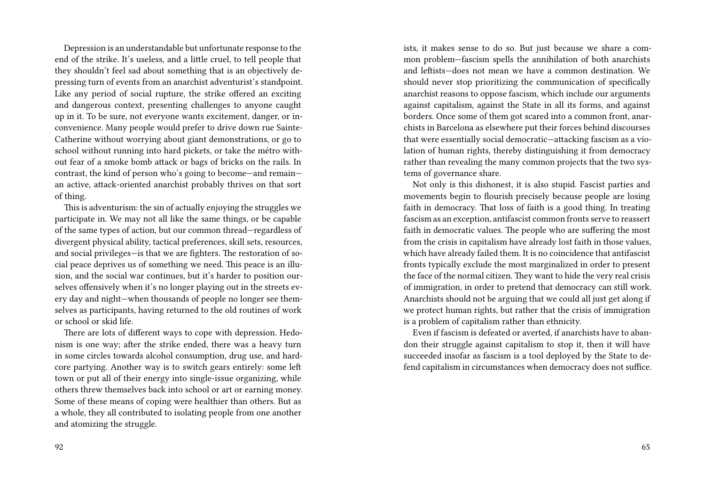Depression is an understandable but unfortunate response to the end of the strike. It's useless, and a little cruel, to tell people that they shouldn't feel sad about something that is an objectively depressing turn of events from an anarchist adventurist's standpoint. Like any period of social rupture, the strike offered an exciting and dangerous context, presenting challenges to anyone caught up in it. To be sure, not everyone wants excitement, danger, or inconvenience. Many people would prefer to drive down rue Sainte-Catherine without worrying about giant demonstrations, or go to school without running into hard pickets, or take the métro without fear of a smoke bomb attack or bags of bricks on the rails. In contrast, the kind of person who's going to become—and remain an active, attack-oriented anarchist probably thrives on that sort of thing.

This is adventurism: the sin of actually enjoying the struggles we participate in. We may not all like the same things, or be capable of the same types of action, but our common thread—regardless of divergent physical ability, tactical preferences, skill sets, resources, and social privileges—is that we are fighters. The restoration of social peace deprives us of something we need. This peace is an illusion, and the social war continues, but it's harder to position ourselves offensively when it's no longer playing out in the streets every day and night—when thousands of people no longer see themselves as participants, having returned to the old routines of work or school or skid life.

There are lots of different ways to cope with depression. Hedonism is one way; after the strike ended, there was a heavy turn in some circles towards alcohol consumption, drug use, and hardcore partying. Another way is to switch gears entirely: some left town or put all of their energy into single-issue organizing, while others threw themselves back into school or art or earning money. Some of these means of coping were healthier than others. But as a whole, they all contributed to isolating people from one another and atomizing the struggle.

ists, it makes sense to do so. But just because we share a common problem—fascism spells the annihilation of both anarchists and leftists—does not mean we have a common destination. We should never stop prioritizing the communication of specifically anarchist reasons to oppose fascism, which include our arguments against capitalism, against the State in all its forms, and against borders. Once some of them got scared into a common front, anarchists in Barcelona as elsewhere put their forces behind discourses that were essentially social democratic—attacking fascism as a violation of human rights, thereby distinguishing it from democracy rather than revealing the many common projects that the two systems of governance share.

Not only is this dishonest, it is also stupid. Fascist parties and movements begin to flourish precisely because people are losing faith in democracy. That loss of faith is a good thing. In treating fascism as an exception, antifascist common fronts serve to reassert faith in democratic values. The people who are suffering the most from the crisis in capitalism have already lost faith in those values, which have already failed them. It is no coincidence that antifascist fronts typically exclude the most marginalized in order to present the face of the normal citizen. They want to hide the very real crisis of immigration, in order to pretend that democracy can still work. Anarchists should not be arguing that we could all just get along if we protect human rights, but rather that the crisis of immigration is a problem of capitalism rather than ethnicity.

Even if fascism is defeated or averted, if anarchists have to abandon their struggle against capitalism to stop it, then it will have succeeded insofar as fascism is a tool deployed by the State to defend capitalism in circumstances when democracy does not suffice.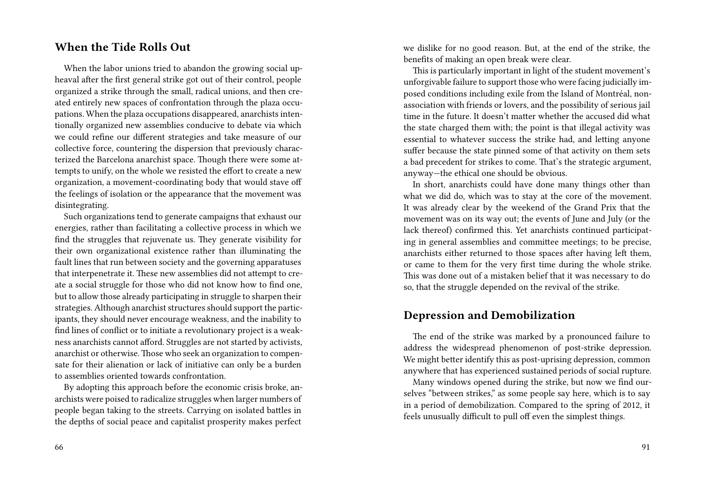#### **When the Tide Rolls Out**

When the labor unions tried to abandon the growing social upheaval after the first general strike got out of their control, people organized a strike through the small, radical unions, and then created entirely new spaces of confrontation through the plaza occupations. When the plaza occupations disappeared, anarchists intentionally organized new assemblies conducive to debate via which we could refine our different strategies and take measure of our collective force, countering the dispersion that previously characterized the Barcelona anarchist space. Though there were some attempts to unify, on the whole we resisted the effort to create a new organization, a movement-coordinating body that would stave off the feelings of isolation or the appearance that the movement was disintegrating.

Such organizations tend to generate campaigns that exhaust our energies, rather than facilitating a collective process in which we find the struggles that rejuvenate us. They generate visibility for their own organizational existence rather than illuminating the fault lines that run between society and the governing apparatuses that interpenetrate it. These new assemblies did not attempt to create a social struggle for those who did not know how to find one, but to allow those already participating in struggle to sharpen their strategies. Although anarchist structures should support the participants, they should never encourage weakness, and the inability to find lines of conflict or to initiate a revolutionary project is a weakness anarchists cannot afford. Struggles are not started by activists, anarchist or otherwise. Those who seek an organization to compensate for their alienation or lack of initiative can only be a burden to assemblies oriented towards confrontation.

By adopting this approach before the economic crisis broke, anarchists were poised to radicalize struggles when larger numbers of people began taking to the streets. Carrying on isolated battles in the depths of social peace and capitalist prosperity makes perfect we dislike for no good reason. But, at the end of the strike, the benefits of making an open break were clear.

This is particularly important in light of the student movement's unforgivable failure to support those who were facing judicially imposed conditions including exile from the Island of Montréal, nonassociation with friends or lovers, and the possibility of serious jail time in the future. It doesn't matter whether the accused did what the state charged them with; the point is that illegal activity was essential to whatever success the strike had, and letting anyone suffer because the state pinned some of that activity on them sets a bad precedent for strikes to come. That's the strategic argument, anyway—the ethical one should be obvious.

In short, anarchists could have done many things other than what we did do, which was to stay at the core of the movement. It was already clear by the weekend of the Grand Prix that the movement was on its way out; the events of June and July (or the lack thereof) confirmed this. Yet anarchists continued participating in general assemblies and committee meetings; to be precise, anarchists either returned to those spaces after having left them, or came to them for the very first time during the whole strike. This was done out of a mistaken belief that it was necessary to do so, that the struggle depended on the revival of the strike.

#### **Depression and Demobilization**

The end of the strike was marked by a pronounced failure to address the widespread phenomenon of post-strike depression. We might better identify this as post-uprising depression, common anywhere that has experienced sustained periods of social rupture.

Many windows opened during the strike, but now we find ourselves "between strikes," as some people say here, which is to say in a period of demobilization. Compared to the spring of 2012, it feels unusually difficult to pull off even the simplest things.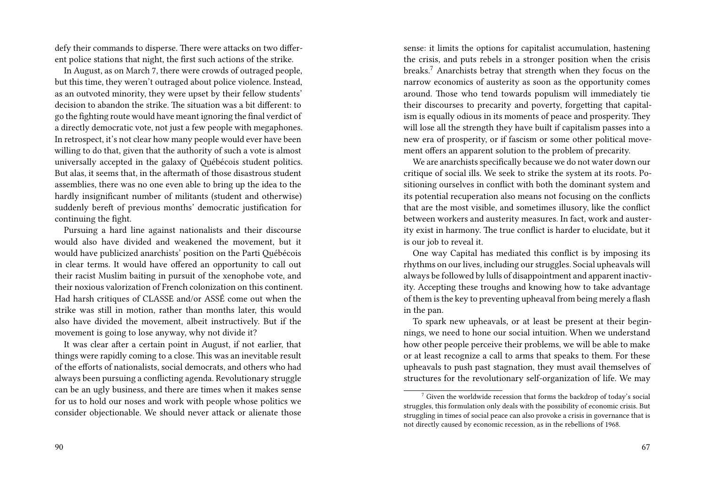defy their commands to disperse. There were attacks on two different police stations that night, the first such actions of the strike.

In August, as on March 7, there were crowds of outraged people, but this time, they weren't outraged about police violence. Instead, as an outvoted minority, they were upset by their fellow students' decision to abandon the strike. The situation was a bit different: to go the fighting route would have meant ignoring the final verdict of a directly democratic vote, not just a few people with megaphones. In retrospect, it's not clear how many people would ever have been willing to do that, given that the authority of such a vote is almost universally accepted in the galaxy of Québécois student politics. But alas, it seems that, in the aftermath of those disastrous student assemblies, there was no one even able to bring up the idea to the hardly insignificant number of militants (student and otherwise) suddenly bereft of previous months' democratic justification for continuing the fight.

Pursuing a hard line against nationalists and their discourse would also have divided and weakened the movement, but it would have publicized anarchists' position on the Parti Québécois in clear terms. It would have offered an opportunity to call out their racist Muslim baiting in pursuit of the xenophobe vote, and their noxious valorization of French colonization on this continent. Had harsh critiques of CLASSE and/or ASSÉ come out when the strike was still in motion, rather than months later, this would also have divided the movement, albeit instructively. But if the movement is going to lose anyway, why not divide it?

It was clear after a certain point in August, if not earlier, that things were rapidly coming to a close. This was an inevitable result of the efforts of nationalists, social democrats, and others who had always been pursuing a conflicting agenda. Revolutionary struggle can be an ugly business, and there are times when it makes sense for us to hold our noses and work with people whose politics we consider objectionable. We should never attack or alienate those sense: it limits the options for capitalist accumulation, hastening the crisis, and puts rebels in a stronger position when the crisis breaks.<sup>7</sup> Anarchists betray that strength when they focus on the narrow economics of austerity as soon as the opportunity comes around. Those who tend towards populism will immediately tie their discourses to precarity and poverty, forgetting that capitalism is equally odious in its moments of peace and prosperity. They will lose all the strength they have built if capitalism passes into a new era of prosperity, or if fascism or some other political movement offers an apparent solution to the problem of precarity.

We are anarchists specifically because we do not water down our critique of social ills. We seek to strike the system at its roots. Positioning ourselves in conflict with both the dominant system and its potential recuperation also means not focusing on the conflicts that are the most visible, and sometimes illusory, like the conflict between workers and austerity measures. In fact, work and austerity exist in harmony. The true conflict is harder to elucidate, but it is our job to reveal it.

One way Capital has mediated this conflict is by imposing its rhythms on our lives, including our struggles. Social upheavals will always be followed by lulls of disappointment and apparent inactivity. Accepting these troughs and knowing how to take advantage of them is the key to preventing upheaval from being merely a flash in the pan.

To spark new upheavals, or at least be present at their beginnings, we need to hone our social intuition. When we understand how other people perceive their problems, we will be able to make or at least recognize a call to arms that speaks to them. For these upheavals to push past stagnation, they must avail themselves of structures for the revolutionary self-organization of life. We may

 $\frac{7}{1}$  Given the worldwide recession that forms the backdrop of today's social struggles, this formulation only deals with the possibility of economic crisis. But struggling in times of social peace can also provoke a crisis in governance that is not directly caused by economic recession, as in the rebellions of 1968.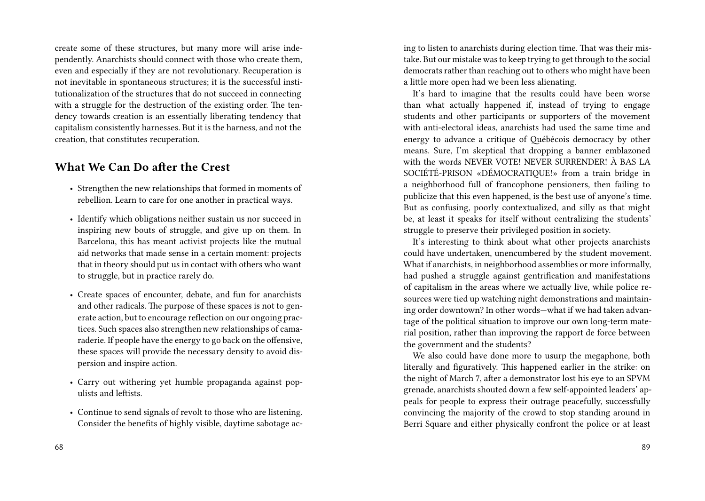create some of these structures, but many more will arise independently. Anarchists should connect with those who create them, even and especially if they are not revolutionary. Recuperation is not inevitable in spontaneous structures; it is the successful institutionalization of the structures that do not succeed in connecting with a struggle for the destruction of the existing order. The tendency towards creation is an essentially liberating tendency that capitalism consistently harnesses. But it is the harness, and not the creation, that constitutes recuperation.

### **What We Can Do after the Crest**

- Strengthen the new relationships that formed in moments of rebellion. Learn to care for one another in practical ways.
- Identify which obligations neither sustain us nor succeed in inspiring new bouts of struggle, and give up on them. In Barcelona, this has meant activist projects like the mutual aid networks that made sense in a certain moment: projects that in theory should put us in contact with others who want to struggle, but in practice rarely do.
- Create spaces of encounter, debate, and fun for anarchists and other radicals. The purpose of these spaces is not to generate action, but to encourage reflection on our ongoing practices. Such spaces also strengthen new relationships of camaraderie. If people have the energy to go back on the offensive, these spaces will provide the necessary density to avoid dispersion and inspire action.
- Carry out withering yet humble propaganda against populists and leftists.
- Continue to send signals of revolt to those who are listening. Consider the benefits of highly visible, daytime sabotage ac-

68

ing to listen to anarchists during election time. That was their mistake. But our mistake was to keep trying to get through to the social democrats rather than reaching out to others who might have been a little more open had we been less alienating.

It's hard to imagine that the results could have been worse than what actually happened if, instead of trying to engage students and other participants or supporters of the movement with anti-electoral ideas, anarchists had used the same time and energy to advance a critique of Québécois democracy by other means. Sure, I'm skeptical that dropping a banner emblazoned with the words NEVER VOTE! NEVER SURRENDER! À BAS LA SOCIÉTÉ-PRISON «DÉMOCRATIQUE!» from a train bridge in a neighborhood full of francophone pensioners, then failing to publicize that this even happened, is the best use of anyone's time. But as confusing, poorly contextualized, and silly as that might be, at least it speaks for itself without centralizing the students' struggle to preserve their privileged position in society.

It's interesting to think about what other projects anarchists could have undertaken, unencumbered by the student movement. What if anarchists, in neighborhood assemblies or more informally, had pushed a struggle against gentrification and manifestations of capitalism in the areas where we actually live, while police resources were tied up watching night demonstrations and maintaining order downtown? In other words—what if we had taken advantage of the political situation to improve our own long-term material position, rather than improving the rapport de force between the government and the students?

We also could have done more to usurp the megaphone, both literally and figuratively. This happened earlier in the strike: on the night of March 7, after a demonstrator lost his eye to an SPVM grenade, anarchists shouted down a few self-appointed leaders' appeals for people to express their outrage peacefully, successfully convincing the majority of the crowd to stop standing around in Berri Square and either physically confront the police or at least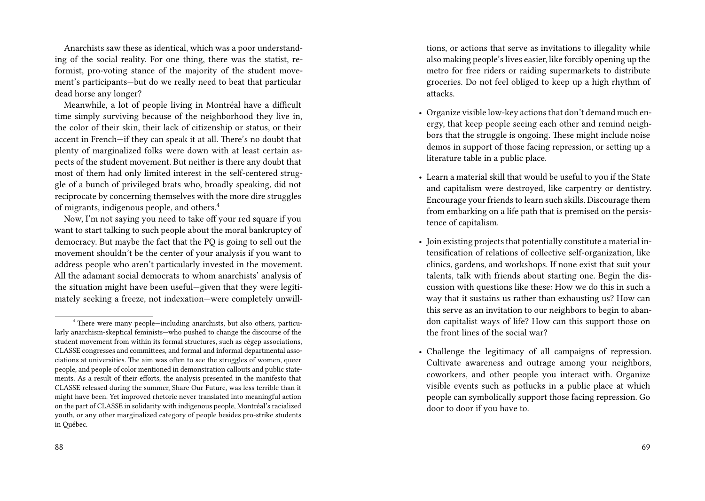Anarchists saw these as identical, which was a poor understanding of the social reality. For one thing, there was the statist, reformist, pro-voting stance of the majority of the student movement's participants—but do we really need to beat that particular dead horse any longer?

Meanwhile, a lot of people living in Montréal have a difficult time simply surviving because of the neighborhood they live in, the color of their skin, their lack of citizenship or status, or their accent in French—if they can speak it at all. There's no doubt that plenty of marginalized folks were down with at least certain aspects of the student movement. But neither is there any doubt that most of them had only limited interest in the self-centered struggle of a bunch of privileged brats who, broadly speaking, did not reciprocate by concerning themselves with the more dire struggles of migrants, indigenous people, and others.<sup>4</sup>

Now, I'm not saying you need to take off your red square if you want to start talking to such people about the moral bankruptcy of democracy. But maybe the fact that the PQ is going to sell out the movement shouldn't be the center of your analysis if you want to address people who aren't particularly invested in the movement. All the adamant social democrats to whom anarchists' analysis of the situation might have been useful—given that they were legitimately seeking a freeze, not indexation—were completely unwill-

tions, or actions that serve as invitations to illegality while also making people's lives easier, like forcibly opening up the metro for free riders or raiding supermarkets to distribute groceries. Do not feel obliged to keep up a high rhythm of attacks.

- Organize visible low-key actions that don't demand much energy, that keep people seeing each other and remind neighbors that the struggle is ongoing. These might include noise demos in support of those facing repression, or setting up a literature table in a public place.
- Learn a material skill that would be useful to you if the State and capitalism were destroyed, like carpentry or dentistry. Encourage your friends to learn such skills. Discourage them from embarking on a life path that is premised on the persistence of capitalism.
- Join existing projects that potentially constitute a material intensification of relations of collective self-organization, like clinics, gardens, and workshops. If none exist that suit your talents, talk with friends about starting one. Begin the discussion with questions like these: How we do this in such a way that it sustains us rather than exhausting us? How can this serve as an invitation to our neighbors to begin to abandon capitalist ways of life? How can this support those on the front lines of the social war?
- Challenge the legitimacy of all campaigns of repression. Cultivate awareness and outrage among your neighbors, coworkers, and other people you interact with. Organize visible events such as potlucks in a public place at which people can symbolically support those facing repression. Go door to door if you have to.

<sup>4</sup> There were many people—including anarchists, but also others, particularly anarchism-skeptical feminists—who pushed to change the discourse of the student movement from within its formal structures, such as cégep associations, CLASSE congresses and committees, and formal and informal departmental associations at universities. The aim was often to see the struggles of women, queer people, and people of color mentioned in demonstration callouts and public statements. As a result of their efforts, the analysis presented in the manifesto that CLASSE released during the summer, Share Our Future, was less terrible than it might have been. Yet improved rhetoric never translated into meaningful action on the part of CLASSE in solidarity with indigenous people, Montréal's racialized youth, or any other marginalized category of people besides pro-strike students in Québec.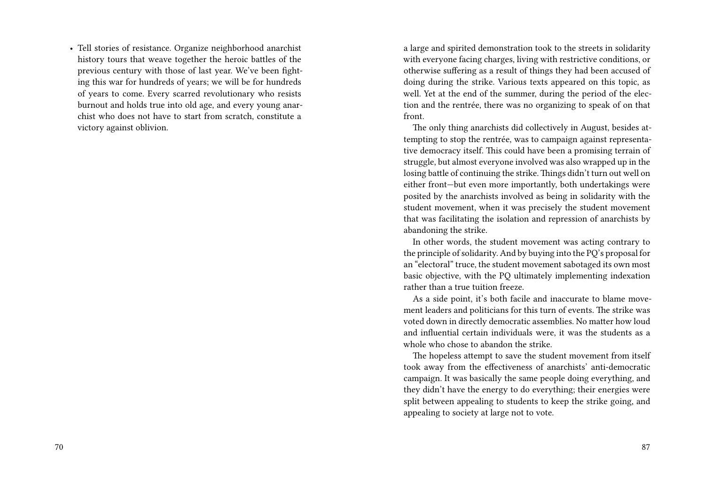• Tell stories of resistance. Organize neighborhood anarchist history tours that weave together the heroic battles of the previous century with those of last year. We've been fighting this war for hundreds of years; we will be for hundreds of years to come. Every scarred revolutionary who resists burnout and holds true into old age, and every young anarchist who does not have to start from scratch, constitute a victory against oblivion.

a large and spirited demonstration took to the streets in solidarity with everyone facing charges, living with restrictive conditions, or otherwise suffering as a result of things they had been accused of doing during the strike. Various texts appeared on this topic, as well. Yet at the end of the summer, during the period of the election and the rentrée, there was no organizing to speak of on that front.

The only thing anarchists did collectively in August, besides attempting to stop the rentrée, was to campaign against representative democracy itself. This could have been a promising terrain of struggle, but almost everyone involved was also wrapped up in the losing battle of continuing the strike. Things didn't turn out well on either front—but even more importantly, both undertakings were posited by the anarchists involved as being in solidarity with the student movement, when it was precisely the student movement that was facilitating the isolation and repression of anarchists by abandoning the strike.

In other words, the student movement was acting contrary to the principle of solidarity. And by buying into the PQ's proposal for an "electoral" truce, the student movement sabotaged its own most basic objective, with the PQ ultimately implementing indexation rather than a true tuition freeze.

As a side point, it's both facile and inaccurate to blame movement leaders and politicians for this turn of events. The strike was voted down in directly democratic assemblies. No matter how loud and influential certain individuals were, it was the students as a whole who chose to abandon the strike.

The hopeless attempt to save the student movement from itself took away from the effectiveness of anarchists' anti-democratic campaign. It was basically the same people doing everything, and they didn't have the energy to do everything; their energies were split between appealing to students to keep the strike going, and appealing to society at large not to vote.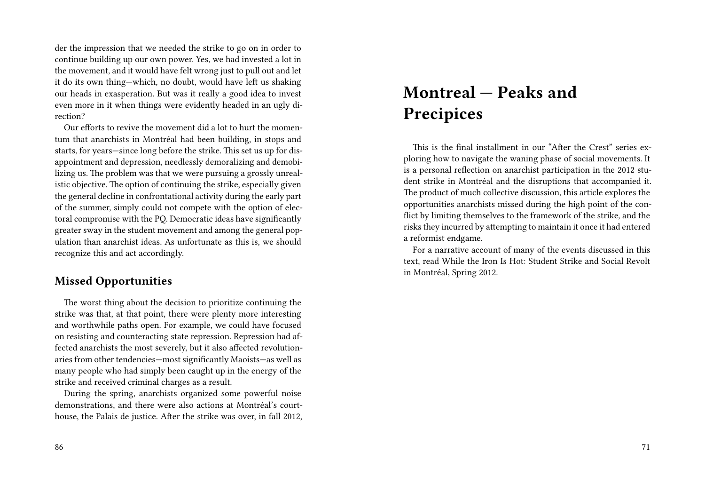der the impression that we needed the strike to go on in order to continue building up our own power. Yes, we had invested a lot in the movement, and it would have felt wrong just to pull out and let it do its own thing—which, no doubt, would have left us shaking our heads in exasperation. But was it really a good idea to invest even more in it when things were evidently headed in an ugly direction?

Our efforts to revive the movement did a lot to hurt the momentum that anarchists in Montréal had been building, in stops and starts, for years—since long before the strike. This set us up for disappointment and depression, needlessly demoralizing and demobilizing us. The problem was that we were pursuing a grossly unrealistic objective. The option of continuing the strike, especially given the general decline in confrontational activity during the early part of the summer, simply could not compete with the option of electoral compromise with the PQ. Democratic ideas have significantly greater sway in the student movement and among the general population than anarchist ideas. As unfortunate as this is, we should recognize this and act accordingly.

#### **Missed Opportunities**

The worst thing about the decision to prioritize continuing the strike was that, at that point, there were plenty more interesting and worthwhile paths open. For example, we could have focused on resisting and counteracting state repression. Repression had affected anarchists the most severely, but it also affected revolutionaries from other tendencies—most significantly Maoists—as well as many people who had simply been caught up in the energy of the strike and received criminal charges as a result.

During the spring, anarchists organized some powerful noise demonstrations, and there were also actions at Montréal's courthouse, the Palais de justice. After the strike was over, in fall 2012,

#### 86

# **Montreal — Peaks and Precipices**

This is the final installment in our "After the Crest" series exploring how to navigate the waning phase of social movements. It is a personal reflection on anarchist participation in the 2012 student strike in Montréal and the disruptions that accompanied it. The product of much collective discussion, this article explores the opportunities anarchists missed during the high point of the conflict by limiting themselves to the framework of the strike, and the risks they incurred by attempting to maintain it once it had entered a reformist endgame.

For a narrative account of many of the events discussed in this text, read While the Iron Is Hot: Student Strike and Social Revolt in Montréal, Spring 2012.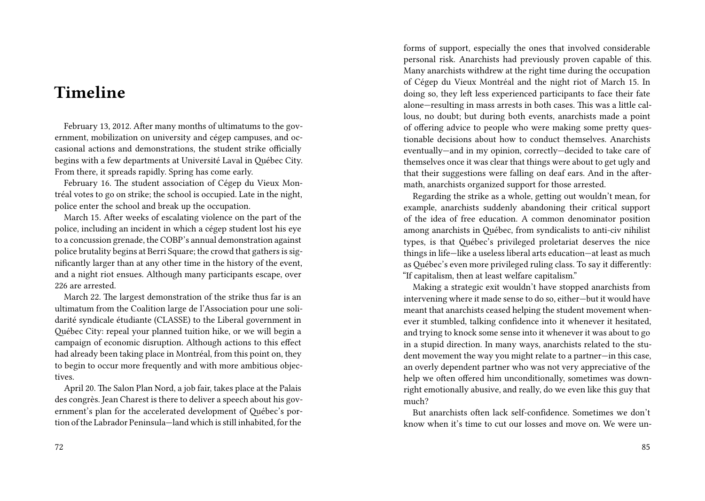## **Timeline**

February 13, 2012. After many months of ultimatums to the government, mobilization on university and cégep campuses, and occasional actions and demonstrations, the student strike officially begins with a few departments at Université Laval in Québec City. From there, it spreads rapidly. Spring has come early.

February 16. The student association of Cégep du Vieux Montréal votes to go on strike; the school is occupied. Late in the night, police enter the school and break up the occupation.

March 15. After weeks of escalating violence on the part of the police, including an incident in which a cégep student lost his eye to a concussion grenade, the COBP's annual demonstration against police brutality begins at Berri Square; the crowd that gathers is significantly larger than at any other time in the history of the event, and a night riot ensues. Although many participants escape, over 226 are arrested.

March 22. The largest demonstration of the strike thus far is an ultimatum from the Coalition large de l'Association pour une solidarité syndicale étudiante (CLASSE) to the Liberal government in Québec City: repeal your planned tuition hike, or we will begin a campaign of economic disruption. Although actions to this effect had already been taking place in Montréal, from this point on, they to begin to occur more frequently and with more ambitious objectives.

April 20. The Salon Plan Nord, a job fair, takes place at the Palais des congrès. Jean Charest is there to deliver a speech about his government's plan for the accelerated development of Québec's portion of the Labrador Peninsula—land which is still inhabited, for the forms of support, especially the ones that involved considerable personal risk. Anarchists had previously proven capable of this. Many anarchists withdrew at the right time during the occupation of Cégep du Vieux Montréal and the night riot of March 15. In doing so, they left less experienced participants to face their fate alone—resulting in mass arrests in both cases. This was a little callous, no doubt; but during both events, anarchists made a point of offering advice to people who were making some pretty questionable decisions about how to conduct themselves. Anarchists eventually—and in my opinion, correctly—decided to take care of themselves once it was clear that things were about to get ugly and that their suggestions were falling on deaf ears. And in the aftermath, anarchists organized support for those arrested.

Regarding the strike as a whole, getting out wouldn't mean, for example, anarchists suddenly abandoning their critical support of the idea of free education. A common denominator position among anarchists in Québec, from syndicalists to anti-civ nihilist types, is that Québec's privileged proletariat deserves the nice things in life—like a useless liberal arts education—at least as much as Québec's even more privileged ruling class. To say it differently: "If capitalism, then at least welfare capitalism."

Making a strategic exit wouldn't have stopped anarchists from intervening where it made sense to do so, either—but it would have meant that anarchists ceased helping the student movement whenever it stumbled, talking confidence into it whenever it hesitated, and trying to knock some sense into it whenever it was about to go in a stupid direction. In many ways, anarchists related to the student movement the way you might relate to a partner—in this case, an overly dependent partner who was not very appreciative of the help we often offered him unconditionally, sometimes was downright emotionally abusive, and really, do we even like this guy that much?

But anarchists often lack self-confidence. Sometimes we don't know when it's time to cut our losses and move on. We were un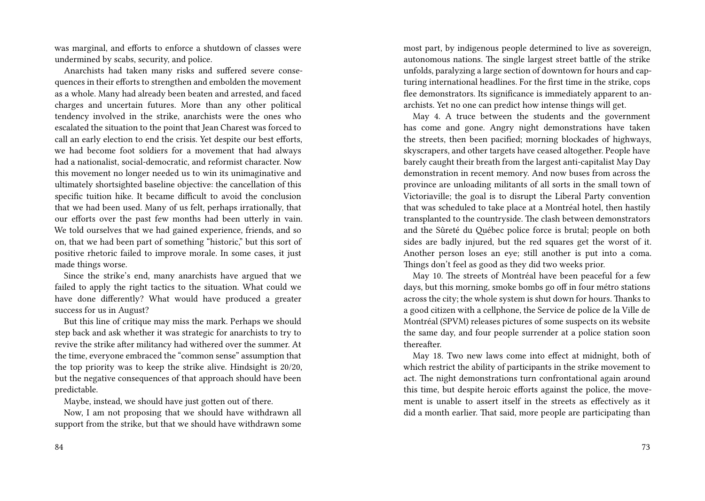was marginal, and efforts to enforce a shutdown of classes were undermined by scabs, security, and police.

Anarchists had taken many risks and suffered severe consequences in their efforts to strengthen and embolden the movement as a whole. Many had already been beaten and arrested, and faced charges and uncertain futures. More than any other political tendency involved in the strike, anarchists were the ones who escalated the situation to the point that Jean Charest was forced to call an early election to end the crisis. Yet despite our best efforts, we had become foot soldiers for a movement that had always had a nationalist, social-democratic, and reformist character. Now this movement no longer needed us to win its unimaginative and ultimately shortsighted baseline objective: the cancellation of this specific tuition hike. It became difficult to avoid the conclusion that we had been used. Many of us felt, perhaps irrationally, that our efforts over the past few months had been utterly in vain. We told ourselves that we had gained experience, friends, and so on, that we had been part of something "historic," but this sort of positive rhetoric failed to improve morale. In some cases, it just made things worse.

Since the strike's end, many anarchists have argued that we failed to apply the right tactics to the situation. What could we have done differently? What would have produced a greater success for us in August?

But this line of critique may miss the mark. Perhaps we should step back and ask whether it was strategic for anarchists to try to revive the strike after militancy had withered over the summer. At the time, everyone embraced the "common sense" assumption that the top priority was to keep the strike alive. Hindsight is 20/20, but the negative consequences of that approach should have been predictable.

Maybe, instead, we should have just gotten out of there.

Now, I am not proposing that we should have withdrawn all support from the strike, but that we should have withdrawn some most part, by indigenous people determined to live as sovereign, autonomous nations. The single largest street battle of the strike unfolds, paralyzing a large section of downtown for hours and capturing international headlines. For the first time in the strike, cops flee demonstrators. Its significance is immediately apparent to anarchists. Yet no one can predict how intense things will get.

May 4. A truce between the students and the government has come and gone. Angry night demonstrations have taken the streets, then been pacified; morning blockades of highways, skyscrapers, and other targets have ceased altogether. People have barely caught their breath from the largest anti-capitalist May Day demonstration in recent memory. And now buses from across the province are unloading militants of all sorts in the small town of Victoriaville; the goal is to disrupt the Liberal Party convention that was scheduled to take place at a Montréal hotel, then hastily transplanted to the countryside. The clash between demonstrators and the Sûreté du Québec police force is brutal; people on both sides are badly injured, but the red squares get the worst of it. Another person loses an eye; still another is put into a coma. Things don't feel as good as they did two weeks prior.

May 10. The streets of Montréal have been peaceful for a few days, but this morning, smoke bombs go off in four métro stations across the city; the whole system is shut down for hours. Thanks to a good citizen with a cellphone, the Service de police de la Ville de Montréal (SPVM) releases pictures of some suspects on its website the same day, and four people surrender at a police station soon thereafter.

May 18. Two new laws come into effect at midnight, both of which restrict the ability of participants in the strike movement to act. The night demonstrations turn confrontational again around this time, but despite heroic efforts against the police, the movement is unable to assert itself in the streets as effectively as it did a month earlier. That said, more people are participating than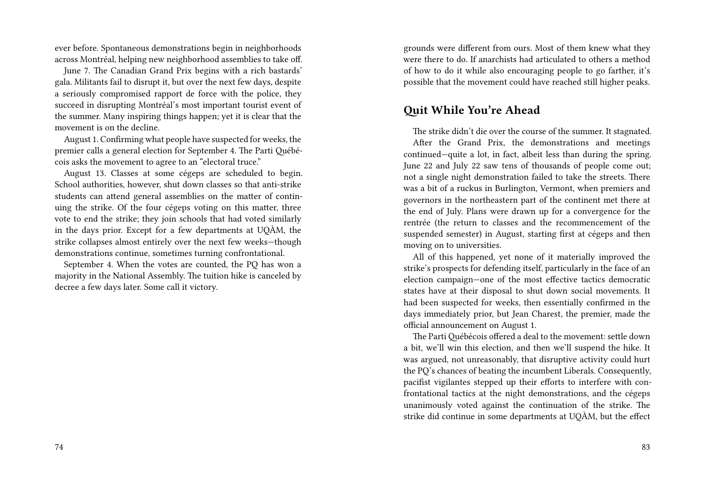ever before. Spontaneous demonstrations begin in neighborhoods across Montréal, helping new neighborhood assemblies to take off.

June 7. The Canadian Grand Prix begins with a rich bastards' gala. Militants fail to disrupt it, but over the next few days, despite a seriously compromised rapport de force with the police, they succeed in disrupting Montréal's most important tourist event of the summer. Many inspiring things happen; yet it is clear that the movement is on the decline.

August 1. Confirming what people have suspected for weeks, the premier calls a general election for September 4. The Parti Québécois asks the movement to agree to an "electoral truce."

August 13. Classes at some cégeps are scheduled to begin. School authorities, however, shut down classes so that anti-strike students can attend general assemblies on the matter of continuing the strike. Of the four cégeps voting on this matter, three vote to end the strike; they join schools that had voted similarly in the days prior. Except for a few departments at UQÀM, the strike collapses almost entirely over the next few weeks—though demonstrations continue, sometimes turning confrontational.

September 4. When the votes are counted, the PQ has won a majority in the National Assembly. The tuition hike is canceled by decree a few days later. Some call it victory.

grounds were different from ours. Most of them knew what they were there to do. If anarchists had articulated to others a method of how to do it while also encouraging people to go farther, it's possible that the movement could have reached still higher peaks.

#### **Quit While You're Ahead**

The strike didn't die over the course of the summer. It stagnated. After the Grand Prix, the demonstrations and meetings continued—quite a lot, in fact, albeit less than during the spring. June 22 and July 22 saw tens of thousands of people come out; not a single night demonstration failed to take the streets. There was a bit of a ruckus in Burlington, Vermont, when premiers and governors in the northeastern part of the continent met there at the end of July. Plans were drawn up for a convergence for the rentrée (the return to classes and the recommencement of the suspended semester) in August, starting first at cégeps and then moving on to universities.

All of this happened, yet none of it materially improved the strike's prospects for defending itself, particularly in the face of an election campaign—one of the most effective tactics democratic states have at their disposal to shut down social movements. It had been suspected for weeks, then essentially confirmed in the days immediately prior, but Jean Charest, the premier, made the official announcement on August 1.

The Parti Québécois offered a deal to the movement: settle down a bit, we'll win this election, and then we'll suspend the hike. It was argued, not unreasonably, that disruptive activity could hurt the PQ's chances of beating the incumbent Liberals. Consequently, pacifist vigilantes stepped up their efforts to interfere with confrontational tactics at the night demonstrations, and the cégeps unanimously voted against the continuation of the strike. The strike did continue in some departments at UQÀM, but the effect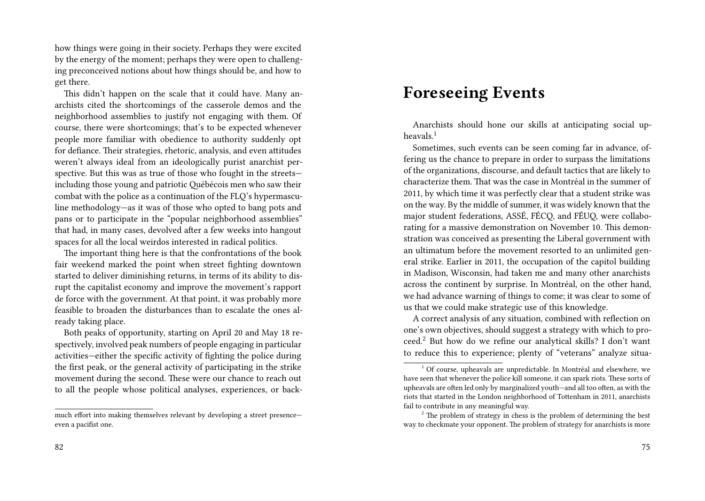how things were going in their society. Perhaps they were excited by the energy of the moment; perhaps they were open to challenging preconceived notions about how things should be, and how to get there.

This didn't happen on the scale that it could have. Many anarchists cited the shortcomings of the casserole demos and the neighborhood assemblies to justify not engaging with them. Of course, there were shortcomings; that's to be expected whenever people more familiar with obedience to authority suddenly opt for defiance. Their strategies, rhetoric, analysis, and even attitudes weren't always ideal from an ideologically purist anarchist perspective. But this was as true of those who fought in the streets including those young and patriotic Québécois men who saw their combat with the police as a continuation of the FLQ's hypermasculine methodology—as it was of those who opted to bang pots and pans or to participate in the "popular neighborhood assemblies" that had, in many cases, devolved after a few weeks into hangout spaces for all the local weirdos interested in radical politics.

The important thing here is that the confrontations of the book fair weekend marked the point when street fighting downtown started to deliver diminishing returns, in terms of its ability to disrupt the capitalist economy and improve the movement's rapport de force with the government. At that point, it was probably more feasible to broaden the disturbances than to escalate the ones already taking place.

Both peaks of opportunity, starting on April 20 and May 18 respectively, involved peak numbers of people engaging in particular activities—either the specific activity of fighting the police during the first peak, or the general activity of participating in the strike movement during the second. These were our chance to reach out to all the people whose political analyses, experiences, or back-

#### 82

## **Foreseeing Events**

Anarchists should hone our skills at anticipating social upheavals $1$ 

Sometimes, such events can be seen coming far in advance, offering us the chance to prepare in order to surpass the limitations of the organizations, discourse, and default tactics that are likely to characterize them. That was the case in Montréal in the summer of 2011, by which time it was perfectly clear that a student strike was on the way. By the middle of summer, it was widely known that the major student federations, ASSÉ, FÉCQ, and FÉUQ, were collaborating for a massive demonstration on November 10. This demonstration was conceived as presenting the Liberal government with an ultimatum before the movement resorted to an unlimited general strike. Earlier in 2011, the occupation of the capitol building in Madison, Wisconsin, had taken me and many other anarchists across the continent by surprise. In Montréal, on the other hand, we had advance warning of things to come; it was clear to some of us that we could make strategic use of this knowledge.

A correct analysis of any situation, combined with reflection on one's own objectives, should suggest a strategy with which to proceed.<sup>2</sup> But how do we refine our analytical skills? I don't want to reduce this to experience; plenty of "veterans" analyze situa-

much effort into making themselves relevant by developing a street presence even a pacifist one.

 $1$ <sup>1</sup> Of course, upheavals are unpredictable. In Montréal and elsewhere, we have seen that whenever the police kill someone, it can spark riots. These sorts of upheavals are often led only by marginalized youth—and all too often, as with the riots that started in the London neighborhood of Tottenham in 2011, anarchists fail to contribute in any meaningful way.

 $2^2$  The problem of strategy in chess is the problem of determining the best way to checkmate your opponent. The problem of strategy for anarchists is more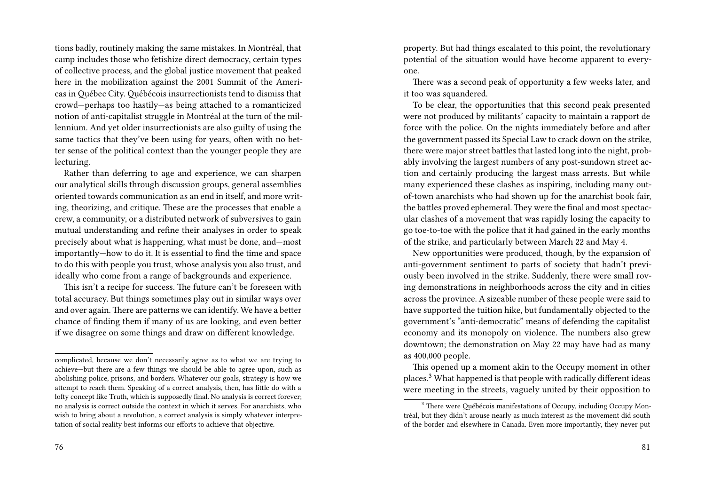tions badly, routinely making the same mistakes. In Montréal, that camp includes those who fetishize direct democracy, certain types of collective process, and the global justice movement that peaked here in the mobilization against the 2001 Summit of the Americas in Québec City. Québécois insurrectionists tend to dismiss that crowd—perhaps too hastily—as being attached to a romanticized notion of anti-capitalist struggle in Montréal at the turn of the millennium. And yet older insurrectionists are also guilty of using the same tactics that they've been using for years, often with no better sense of the political context than the younger people they are lecturing.

Rather than deferring to age and experience, we can sharpen our analytical skills through discussion groups, general assemblies oriented towards communication as an end in itself, and more writing, theorizing, and critique. These are the processes that enable a crew, a community, or a distributed network of subversives to gain mutual understanding and refine their analyses in order to speak precisely about what is happening, what must be done, and—most importantly—how to do it. It is essential to find the time and space to do this with people you trust, whose analysis you also trust, and ideally who come from a range of backgrounds and experience.

This isn't a recipe for success. The future can't be foreseen with total accuracy. But things sometimes play out in similar ways over and over again. There are patterns we can identify. We have a better chance of finding them if many of us are looking, and even better if we disagree on some things and draw on different knowledge.

property. But had things escalated to this point, the revolutionary potential of the situation would have become apparent to everyone.

There was a second peak of opportunity a few weeks later, and it too was squandered.

To be clear, the opportunities that this second peak presented were not produced by militants' capacity to maintain a rapport de force with the police. On the nights immediately before and after the government passed its Special Law to crack down on the strike, there were major street battles that lasted long into the night, probably involving the largest numbers of any post-sundown street action and certainly producing the largest mass arrests. But while many experienced these clashes as inspiring, including many outof-town anarchists who had shown up for the anarchist book fair, the battles proved ephemeral. They were the final and most spectacular clashes of a movement that was rapidly losing the capacity to go toe-to-toe with the police that it had gained in the early months of the strike, and particularly between March 22 and May 4.

New opportunities were produced, though, by the expansion of anti-government sentiment to parts of society that hadn't previously been involved in the strike. Suddenly, there were small roving demonstrations in neighborhoods across the city and in cities across the province. A sizeable number of these people were said to have supported the tuition hike, but fundamentally objected to the government's "anti-democratic" means of defending the capitalist economy and its monopoly on violence. The numbers also grew downtown; the demonstration on May 22 may have had as many as 400,000 people.

This opened up a moment akin to the Occupy moment in other places.<sup>3</sup> What happened is that people with radically different ideas were meeting in the streets, vaguely united by their opposition to

complicated, because we don't necessarily agree as to what we are trying to achieve—but there are a few things we should be able to agree upon, such as abolishing police, prisons, and borders. Whatever our goals, strategy is how we attempt to reach them. Speaking of a correct analysis, then, has little do with a lofty concept like Truth, which is supposedly final. No analysis is correct forever; no analysis is correct outside the context in which it serves. For anarchists, who wish to bring about a revolution, a correct analysis is simply whatever interpretation of social reality best informs our efforts to achieve that objective.

<sup>&</sup>lt;sup>3</sup> There were Québécois manifestations of Occupy, including Occupy Montréal, but they didn't arouse nearly as much interest as the movement did south of the border and elsewhere in Canada. Even more importantly, they never put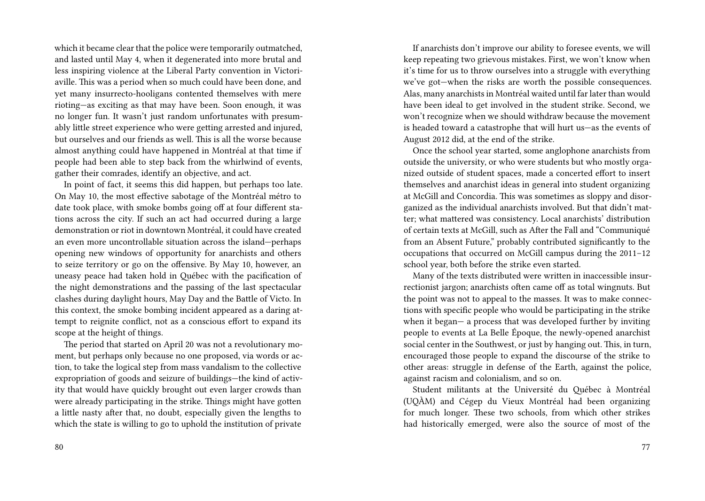which it became clear that the police were temporarily outmatched, and lasted until May 4, when it degenerated into more brutal and less inspiring violence at the Liberal Party convention in Victoriaville. This was a period when so much could have been done, and yet many insurrecto-hooligans contented themselves with mere rioting—as exciting as that may have been. Soon enough, it was no longer fun. It wasn't just random unfortunates with presumably little street experience who were getting arrested and injured, but ourselves and our friends as well. This is all the worse because almost anything could have happened in Montréal at that time if people had been able to step back from the whirlwind of events, gather their comrades, identify an objective, and act.

In point of fact, it seems this did happen, but perhaps too late. On May 10, the most effective sabotage of the Montréal métro to date took place, with smoke bombs going off at four different stations across the city. If such an act had occurred during a large demonstration or riot in downtown Montréal, it could have created an even more uncontrollable situation across the island—perhaps opening new windows of opportunity for anarchists and others to seize territory or go on the offensive. By May 10, however, an uneasy peace had taken hold in Québec with the pacification of the night demonstrations and the passing of the last spectacular clashes during daylight hours, May Day and the Battle of Victo. In this context, the smoke bombing incident appeared as a daring attempt to reignite conflict, not as a conscious effort to expand its scope at the height of things.

The period that started on April 20 was not a revolutionary moment, but perhaps only because no one proposed, via words or action, to take the logical step from mass vandalism to the collective expropriation of goods and seizure of buildings—the kind of activity that would have quickly brought out even larger crowds than were already participating in the strike. Things might have gotten a little nasty after that, no doubt, especially given the lengths to which the state is willing to go to uphold the institution of private

80

If anarchists don't improve our ability to foresee events, we will keep repeating two grievous mistakes. First, we won't know when it's time for us to throw ourselves into a struggle with everything we've got—when the risks are worth the possible consequences. Alas, many anarchists in Montréal waited until far later than would have been ideal to get involved in the student strike. Second, we won't recognize when we should withdraw because the movement is headed toward a catastrophe that will hurt us—as the events of August 2012 did, at the end of the strike.

Once the school year started, some anglophone anarchists from outside the university, or who were students but who mostly organized outside of student spaces, made a concerted effort to insert themselves and anarchist ideas in general into student organizing at McGill and Concordia. This was sometimes as sloppy and disorganized as the individual anarchists involved. But that didn't matter; what mattered was consistency. Local anarchists' distribution of certain texts at McGill, such as After the Fall and "Communiqué from an Absent Future," probably contributed significantly to the occupations that occurred on McGill campus during the 2011–12 school year, both before the strike even started.

Many of the texts distributed were written in inaccessible insurrectionist jargon; anarchists often came off as total wingnuts. But the point was not to appeal to the masses. It was to make connections with specific people who would be participating in the strike when it began— a process that was developed further by inviting people to events at La Belle Époque, the newly-opened anarchist social center in the Southwest, or just by hanging out. This, in turn, encouraged those people to expand the discourse of the strike to other areas: struggle in defense of the Earth, against the police, against racism and colonialism, and so on.

Student militants at the Université du Québec à Montréal (UQÀM) and Cégep du Vieux Montréal had been organizing for much longer. These two schools, from which other strikes had historically emerged, were also the source of most of the